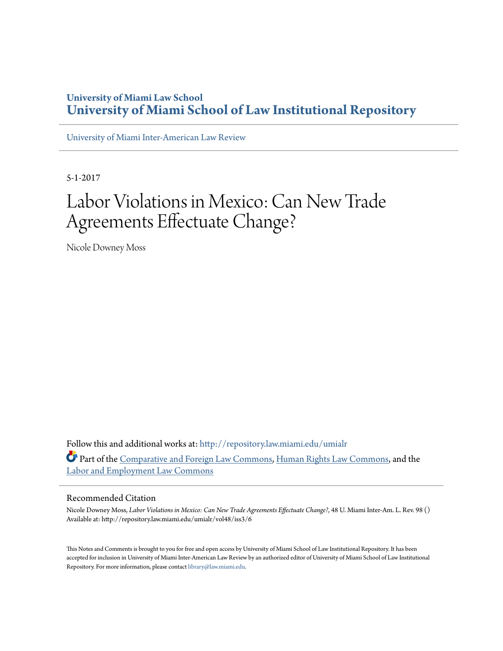### **University of Miami Law School [University of Miami School of Law Institutional Repository](http://repository.law.miami.edu?utm_source=repository.law.miami.edu%2Fumialr%2Fvol48%2Fiss3%2F6&utm_medium=PDF&utm_campaign=PDFCoverPages)**

[University of Miami Inter-American Law Review](http://repository.law.miami.edu/umialr?utm_source=repository.law.miami.edu%2Fumialr%2Fvol48%2Fiss3%2F6&utm_medium=PDF&utm_campaign=PDFCoverPages)

5-1-2017

# Labor Violations in Mexico: Can New Trade Agreements Effectuate Change?

Nicole Downey Moss

Follow this and additional works at: [http://repository.law.miami.edu/umialr](http://repository.law.miami.edu/umialr?utm_source=repository.law.miami.edu%2Fumialr%2Fvol48%2Fiss3%2F6&utm_medium=PDF&utm_campaign=PDFCoverPages) Part of the [Comparative and Foreign Law Commons](http://network.bepress.com/hgg/discipline/836?utm_source=repository.law.miami.edu%2Fumialr%2Fvol48%2Fiss3%2F6&utm_medium=PDF&utm_campaign=PDFCoverPages), [Human Rights Law Commons](http://network.bepress.com/hgg/discipline/847?utm_source=repository.law.miami.edu%2Fumialr%2Fvol48%2Fiss3%2F6&utm_medium=PDF&utm_campaign=PDFCoverPages), and the [Labor and Employment Law Commons](http://network.bepress.com/hgg/discipline/909?utm_source=repository.law.miami.edu%2Fumialr%2Fvol48%2Fiss3%2F6&utm_medium=PDF&utm_campaign=PDFCoverPages)

#### Recommended Citation

Nicole Downey Moss, *Labor Violations in Mexico: Can New Trade Agreements Effectuate Change?*, 48 U. Miami Inter-Am. L. Rev. 98 () Available at: http://repository.law.miami.edu/umialr/vol48/iss3/6

This Notes and Comments is brought to you for free and open access by University of Miami School of Law Institutional Repository. It has been accepted for inclusion in University of Miami Inter-American Law Review by an authorized editor of University of Miami School of Law Institutional Repository. For more information, please contact [library@law.miami.edu](mailto:library@law.miami.edu).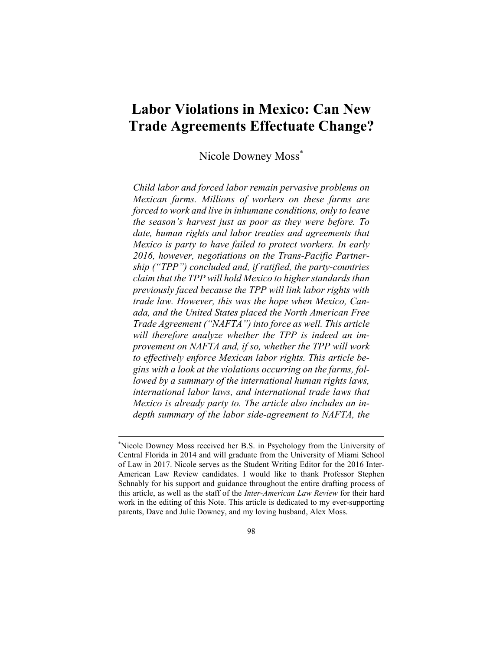## **Labor Violations in Mexico: Can New Trade Agreements Effectuate Change?**

Nicole Downey Moss\*

*Child labor and forced labor remain pervasive problems on Mexican farms. Millions of workers on these farms are forced to work and live in inhumane conditions, only to leave the season's harvest just as poor as they were before. To date, human rights and labor treaties and agreements that Mexico is party to have failed to protect workers. In early 2016, however, negotiations on the Trans-Pacific Partnership ("TPP") concluded and, if ratified, the party-countries claim that the TPP will hold Mexico to higher standards than previously faced because the TPP will link labor rights with trade law. However, this was the hope when Mexico, Canada, and the United States placed the North American Free Trade Agreement ("NAFTA") into force as well. This article will therefore analyze whether the TPP is indeed an improvement on NAFTA and, if so, whether the TPP will work to effectively enforce Mexican labor rights. This article begins with a look at the violations occurring on the farms, followed by a summary of the international human rights laws, international labor laws, and international trade laws that Mexico is already party to. The article also includes an indepth summary of the labor side-agreement to NAFTA, the* 

<u>.</u>

<sup>\*</sup> Nicole Downey Moss received her B.S. in Psychology from the University of Central Florida in 2014 and will graduate from the University of Miami School of Law in 2017. Nicole serves as the Student Writing Editor for the 2016 Inter-American Law Review candidates. I would like to thank Professor Stephen Schnably for his support and guidance throughout the entire drafting process of this article, as well as the staff of the *Inter-American Law Review* for their hard work in the editing of this Note. This article is dedicated to my ever-supporting parents, Dave and Julie Downey, and my loving husband, Alex Moss.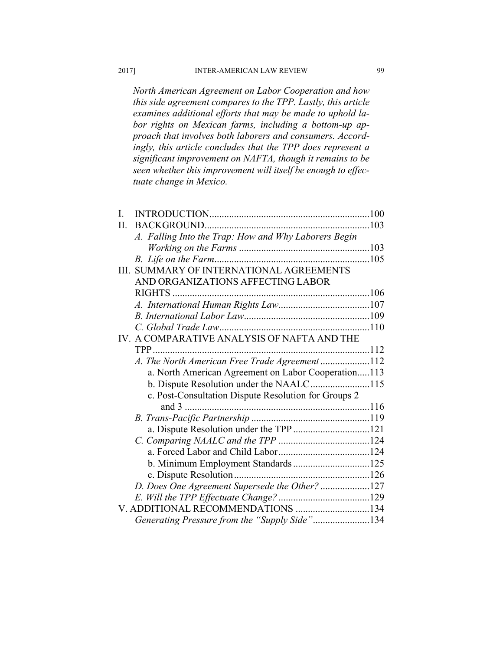*North American Agreement on Labor Cooperation and how this side agreement compares to the TPP. Lastly, this article examines additional efforts that may be made to uphold labor rights on Mexican farms, including a bottom-up approach that involves both laborers and consumers. Accordingly, this article concludes that the TPP does represent a significant improvement on NAFTA, though it remains to be seen whether this improvement will itself be enough to effectuate change in Mexico.* 

| L                                             |                                                      |  |  |
|-----------------------------------------------|------------------------------------------------------|--|--|
| H.                                            |                                                      |  |  |
|                                               | A. Falling Into the Trap: How and Why Laborers Begin |  |  |
|                                               |                                                      |  |  |
|                                               |                                                      |  |  |
|                                               | III. SUMMARY OF INTERNATIONAL AGREEMENTS             |  |  |
|                                               | AND ORGANIZATIONS AFFECTING LABOR                    |  |  |
|                                               |                                                      |  |  |
|                                               |                                                      |  |  |
|                                               |                                                      |  |  |
|                                               |                                                      |  |  |
|                                               | IV. A COMPARATIVE ANALYSIS OF NAFTA AND THE          |  |  |
|                                               |                                                      |  |  |
|                                               | A. The North American Free Trade Agreement112        |  |  |
|                                               | a. North American Agreement on Labor Cooperation113  |  |  |
|                                               | b. Dispute Resolution under the NAALC115             |  |  |
|                                               | c. Post-Consultation Dispute Resolution for Groups 2 |  |  |
|                                               | and $3$                                              |  |  |
|                                               |                                                      |  |  |
|                                               | a. Dispute Resolution under the TPP 121              |  |  |
|                                               |                                                      |  |  |
|                                               |                                                      |  |  |
|                                               |                                                      |  |  |
|                                               |                                                      |  |  |
|                                               | D. Does One Agreement Supersede the Other? 127       |  |  |
|                                               |                                                      |  |  |
| V. ADDITIONAL RECOMMENDATIONS 134             |                                                      |  |  |
| Generating Pressure from the "Supply Side"134 |                                                      |  |  |
|                                               |                                                      |  |  |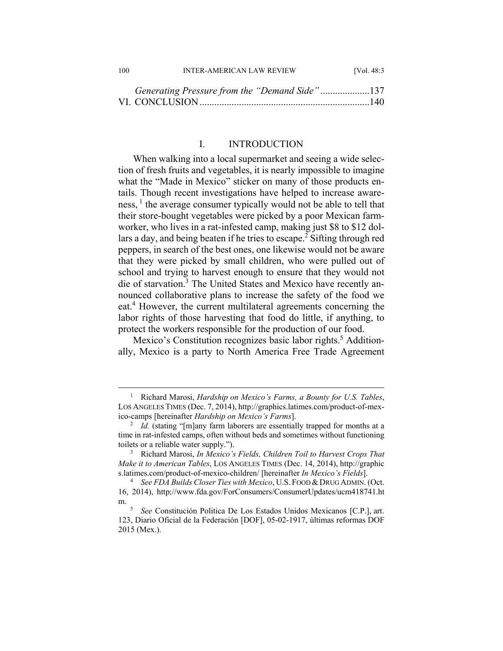| 100 | <b>INTER-AMERICAN LAW REVIEW</b> | [Vol. $48:3$ ] |
|-----|----------------------------------|----------------|
|     |                                  |                |

| Generating Pressure from the "Demand Side"137 |  |
|-----------------------------------------------|--|
|                                               |  |

#### I. INTRODUCTION

When walking into a local supermarket and seeing a wide selection of fresh fruits and vegetables, it is nearly impossible to imagine what the "Made in Mexico" sticker on many of those products entails. Though recent investigations have helped to increase awareness, <sup>1</sup> the average consumer typically would not be able to tell that their store-bought vegetables were picked by a poor Mexican farmworker, who lives in a rat-infested camp, making just \$8 to \$12 dollars a day, and being beaten if he tries to escape.<sup>2</sup> Sifting through red peppers, in search of the best ones, one likewise would not be aware that they were picked by small children, who were pulled out of school and trying to harvest enough to ensure that they would not die of starvation.<sup>3</sup> The United States and Mexico have recently announced collaborative plans to increase the safety of the food we eat.<sup>4</sup> However, the current multilateral agreements concerning the labor rights of those harvesting that food do little, if anything, to protect the workers responsible for the production of our food.

Mexico's Constitution recognizes basic labor rights.<sup>5</sup> Additionally, Mexico is a party to North America Free Trade Agreement

 $\frac{1}{1}$  Richard Marosi, *Hardship on Mexico's Farms, a Bounty for U.S. Tables*, LOS ANGELES TIMES (Dec. 7, 2014), http://graphics.latimes.com/product-of-mexico-camps [hereinafter *Hardship on Mexico's Farms*]. 2

<sup>&</sup>lt;sup>2</sup> *Id.* (stating "[m]any farm laborers are essentially trapped for months at a time in rat-infested camps, often without beds and sometimes without functioning toilets or a reliable water supply.").

Richard Marosi, *In Mexico's Fields, Children Toil to Harvest Crops That Make it to American Tables*, LOS ANGELES TIMES (Dec. 14, 2014), http://graphic s.latimes.com/product-of-mexico-children/ [hereinafter *In Mexico's Fields*]. 4

<sup>&</sup>lt;sup>4</sup> See FDA Builds Closer Ties with Mexico, U.S. FOOD & DRUG ADMIN. (Oct. 16, 2014), http://www.fda.gov/ForConsumers/ConsumerUpdates/ucm418741.ht m.  $\frac{5}{5}$ 

*See* Constitución Politica De Los Estados Unidos Mexicanos [C.P.], art. 123, Diario Oficial de la Federación [DOF], 05-02-1917, últimas reformas DOF 2015 (Mex.).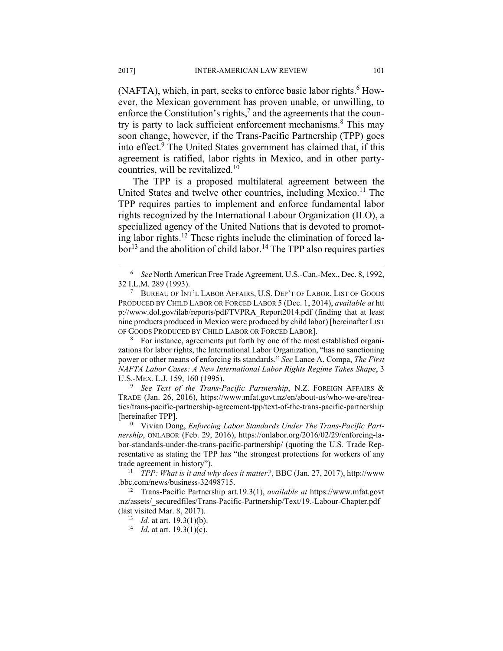(NAFTA), which, in part, seeks to enforce basic labor rights.<sup>6</sup> However, the Mexican government has proven unable, or unwilling, to enforce the Constitution's rights, $7$  and the agreements that the country is party to lack sufficient enforcement mechanisms.<sup>8</sup> This may soon change, however, if the Trans-Pacific Partnership (TPP) goes into effect.<sup>9</sup> The United States government has claimed that, if this agreement is ratified, labor rights in Mexico, and in other partycountries, will be revitalized.<sup>10</sup>

The TPP is a proposed multilateral agreement between the United States and twelve other countries, including Mexico.<sup>11</sup> The TPP requires parties to implement and enforce fundamental labor rights recognized by the International Labour Organization (ILO), a specialized agency of the United Nations that is devoted to promoting labor rights.<sup>12</sup> These rights include the elimination of forced la $bor<sup>13</sup>$  and the abolition of child labor.<sup>14</sup> The TPP also requires parties

 For instance, agreements put forth by one of the most established organizations for labor rights, the International Labor Organization, "has no sanctioning power or other means of enforcing its standards." *See* Lance A. Compa, *The First NAFTA Labor Cases: A New International Labor Rights Regime Takes Shape*, 3 U.S.-MEX. L.J. 159, 160 (1995).

 *See Text of the Trans-Pacific Partnership*, N.Z. FOREIGN AFFAIRS & TRADE (Jan. 26, 2016), https://www.mfat.govt.nz/en/about-us/who-we-are/treaties/trans-pacific-partnership-agreement-tpp/text-of-the-trans-pacific-partnership [hereinafter TPP]. 10 Vivian Dong, *Enforcing Labor Standards Under The Trans-Pacific Part-*

*nership*, ONLABOR (Feb. 29, 2016), https://onlabor.org/2016/02/29/enforcing-labor-standards-under-the-trans-pacific-partnership/ (quoting the U.S. Trade Representative as stating the TPP has "the strongest protections for workers of any trade agreement in history"). 11 *TPP: What is it and why does it matter?*, BBC (Jan. 27, 2017), http://www

.bbc.com/news/business-32498715. 12 Trans-Pacific Partnership art.19.3(1), *available at* https://www.mfat.govt

.nz/assets/\_securedfiles/Trans-Pacific-Partnership/Text/19.-Labour-Chapter.pdf (last visited Mar. 8, 2017). 13 *Id.* at art. 19.3(1)(b). 14 *Id*. at art. 19.3(1)(c).

 $\overline{\phantom{0}}$  *See* North American Free Trade Agreement, U.S.-Can.-Mex., Dec. 8, 1992, 32 I.L.M. 289 (1993). 7

BUREAU OF INT'L LABOR AFFAIRS, U.S. DEP'T OF LABOR, LIST OF GOODS PRODUCED BY CHILD LABOR OR FORCED LABOR 5 (Dec. 1, 2014), *available at* htt p://www.dol.gov/ilab/reports/pdf/TVPRA\_Report2014.pdf (finding that at least nine products produced in Mexico were produced by child labor) [hereinafter LIST OF GOODS PRODUCED BY CHILD LABOR OR FORCED LABOR].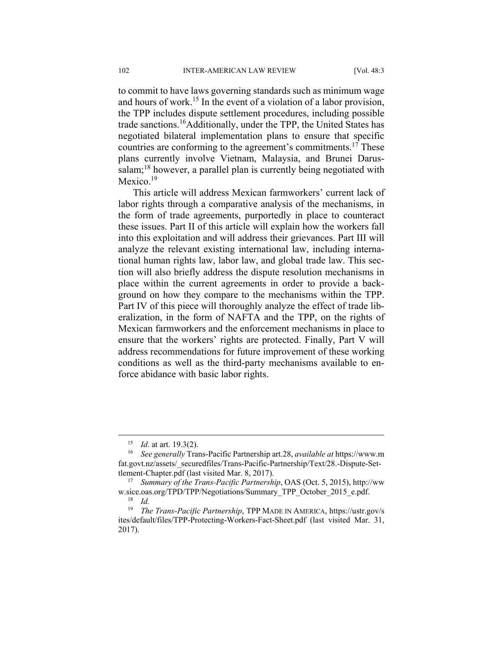to commit to have laws governing standards such as minimum wage and hours of work.<sup>15</sup> In the event of a violation of a labor provision, the TPP includes dispute settlement procedures, including possible trade sanctions.16Additionally, under the TPP, the United States has negotiated bilateral implementation plans to ensure that specific countries are conforming to the agreement's commitments.17 These plans currently involve Vietnam, Malaysia, and Brunei Darussalam;<sup>18</sup> however, a parallel plan is currently being negotiated with Mexico.<sup>19</sup>

This article will address Mexican farmworkers' current lack of labor rights through a comparative analysis of the mechanisms, in the form of trade agreements, purportedly in place to counteract these issues. Part II of this article will explain how the workers fall into this exploitation and will address their grievances. Part III will analyze the relevant existing international law, including international human rights law, labor law, and global trade law. This section will also briefly address the dispute resolution mechanisms in place within the current agreements in order to provide a background on how they compare to the mechanisms within the TPP. Part IV of this piece will thoroughly analyze the effect of trade liberalization, in the form of NAFTA and the TPP, on the rights of Mexican farmworkers and the enforcement mechanisms in place to ensure that the workers' rights are protected. Finally, Part V will address recommendations for future improvement of these working conditions as well as the third-party mechanisms available to enforce abidance with basic labor rights.

<sup>15</sup> *Id*. at art. 19.3(2). 16 *See generally* Trans-Pacific Partnership art.28, *available at* https://www.m fat.govt.nz/assets/\_securedfiles/Trans-Pacific-Partnership/Text/28.-Dispute-Settlement-Chapter.pdf (last visited Mar. 8, 2017). 17 *Summary of the Trans-Pacific Partnership*, OAS (Oct. 5, 2015), http://ww

w.sice.oas.org/TPD/TPP/Negotiations/Summary\_TPP\_October\_2015\_e.pdf.<br><sup>18</sup> *Id. The Trans-Pacific Partnershin* TPP MADE IN AMERICA https://ustr.org/

<sup>19</sup> *The Trans-Pacific Partnership*, TPP MADE IN AMERICA, https://ustr.gov/s ites/default/files/TPP-Protecting-Workers-Fact-Sheet.pdf (last visited Mar. 31, 2017).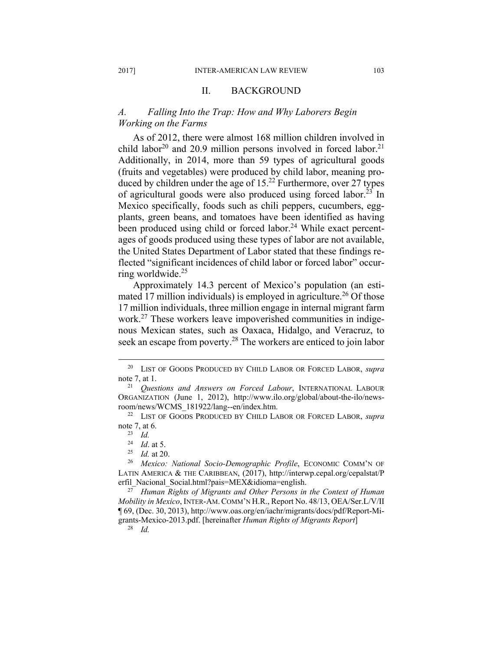#### II. BACKGROUND

#### *A. Falling Into the Trap: How and Why Laborers Begin Working on the Farms*

As of 2012, there were almost 168 million children involved in child labor<sup>20</sup> and 20.9 million persons involved in forced labor.<sup>21</sup> Additionally, in 2014, more than 59 types of agricultural goods (fruits and vegetables) were produced by child labor, meaning produced by children under the age of  $15.<sup>22</sup>$  Furthermore, over 27 types of agricultural goods were also produced using forced labor.<sup>23</sup> In Mexico specifically, foods such as chili peppers, cucumbers, eggplants, green beans, and tomatoes have been identified as having been produced using child or forced labor.<sup>24</sup> While exact percentages of goods produced using these types of labor are not available, the United States Department of Labor stated that these findings reflected "significant incidences of child labor or forced labor" occurring worldwide.25

Approximately 14.3 percent of Mexico's population (an estimated 17 million individuals) is employed in agriculture.<sup>26</sup> Of those 17 million individuals, three million engage in internal migrant farm work.<sup>27</sup> These workers leave impoverished communities in indigenous Mexican states, such as Oaxaca, Hidalgo, and Veracruz, to seek an escape from poverty.<sup>28</sup> The workers are enticed to join labor

*Mobility in Mexico*, INTER-AM.COMM'N H.R., Report No. 48/13, OEA/Ser.L/V/II ¶ 69, (Dec. 30, 2013), http://www.oas.org/en/iachr/migrants/docs/pdf/Report-Migrants-Mexico-2013.pdf. [hereinafter *Human Rights of Migrants Report*] 28 *Id.*

 <sup>20</sup> LIST OF GOODS PRODUCED BY CHILD LABOR OR FORCED LABOR, *supra*  note 7, at 1.<br><sup>21</sup> *Questions and Answers on Forced Labour*, INTERNATIONAL LABOUR

ORGANIZATION (June 1, 2012), http://www.ilo.org/global/about-the-ilo/newsroom/news/WCMS\_181922/lang--en/index.htm. 22 LIST OF GOODS PRODUCED BY CHILD LABOR OR FORCED LABOR, *supra* 

note 7, at 6.<br><sup>23</sup> *Id.*<br><sup>24</sup> *Id.* at 5.

<sup>&</sup>lt;sup>25</sup> Id. at 20.<br><sup>26</sup> Mexico: National Socio-Demographic Profile, ECONOMIC COMM'N OF LATIN AMERICA & THE CARIBBEAN, (2017), http://interwp.cepal.org/cepalstat/P erfil\_Nacional\_Social.html?pais=MEX&idioma=english. 27 *Human Rights of Migrants and Other Persons in the Context of Human*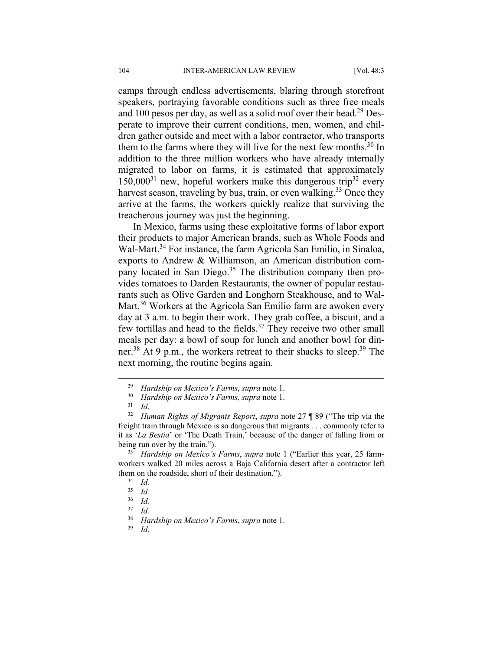camps through endless advertisements, blaring through storefront speakers, portraying favorable conditions such as three free meals and 100 pesos per day, as well as a solid roof over their head.<sup>29</sup> Desperate to improve their current conditions, men, women, and children gather outside and meet with a labor contractor, who transports them to the farms where they will live for the next few months.<sup>30</sup> In addition to the three million workers who have already internally migrated to labor on farms, it is estimated that approximately  $150,000^{31}$  new, hopeful workers make this dangerous trip<sup>32</sup> every harvest season, traveling by bus, train, or even walking.<sup>33</sup> Once they arrive at the farms, the workers quickly realize that surviving the treacherous journey was just the beginning.

In Mexico, farms using these exploitative forms of labor export their products to major American brands, such as Whole Foods and Wal-Mart.<sup>34</sup> For instance, the farm Agricola San Emilio, in Sinaloa, exports to Andrew & Williamson, an American distribution company located in San Diego.<sup>35</sup> The distribution company then provides tomatoes to Darden Restaurants, the owner of popular restaurants such as Olive Garden and Longhorn Steakhouse, and to Wal-Mart.<sup>36</sup> Workers at the Agricola San Emilio farm are awoken every day at 3 a.m. to begin their work. They grab coffee, a biscuit, and a few tortillas and head to the fields.<sup>37</sup> They receive two other small meals per day: a bowl of soup for lunch and another bowl for dinner.<sup>38</sup> At 9 p.m., the workers retreat to their shacks to sleep.<sup>39</sup> The next morning, the routine begins again.

<sup>&</sup>lt;sup>29</sup> Hardship on Mexico's Farms, *supra* note 1.<br><sup>30</sup> Hardship on Mexico's Farms, *supra* note 1.<br><sup>31</sup> Human Rights of Migrants Report, *supra* note 27 ¶ 89 ("The trip via the freight train through Mexico is so dangerous that migrants . . . commonly refer to it as '*La Bestia*' or 'The Death Train,' because of the danger of falling from or being run over by the train.").<br><sup>33</sup> *Hardship on Mexico's Farms*, *supra* note 1 ("Earlier this year, 25 farm-

workers walked 20 miles across a Baja California desert after a contractor left them on the roadside, short of their destination.").<br> $\frac{34}{35}$  *Id.* 

 $rac{35}{36}$  *Id.* 

 $rac{36}{37}$  *Id.* 

 $rac{37}{38}$  *Id.* 

<sup>38</sup> *Hardship on Mexico's Farms*, *supra* note 1. 39 *Id*.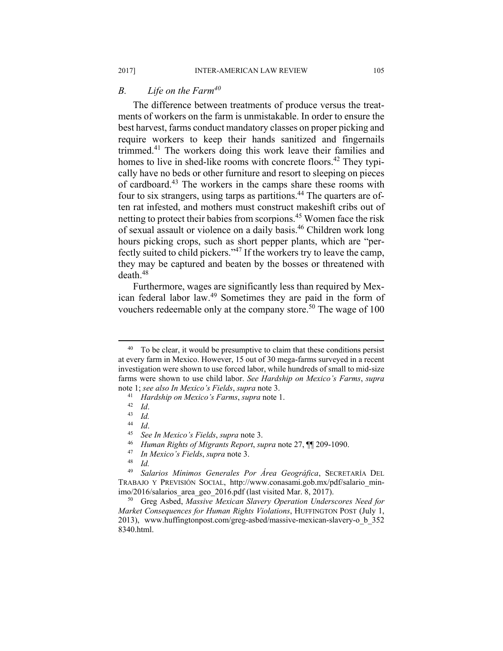#### *B. Life on the Farm40*

The difference between treatments of produce versus the treatments of workers on the farm is unmistakable. In order to ensure the best harvest, farms conduct mandatory classes on proper picking and require workers to keep their hands sanitized and fingernails trimmed.41 The workers doing this work leave their families and homes to live in shed-like rooms with concrete floors.<sup>42</sup> They typically have no beds or other furniture and resort to sleeping on pieces of cardboard.43 The workers in the camps share these rooms with four to six strangers, using tarps as partitions.<sup>44</sup> The quarters are often rat infested, and mothers must construct makeshift cribs out of netting to protect their babies from scorpions.<sup>45</sup> Women face the risk of sexual assault or violence on a daily basis.46 Children work long hours picking crops, such as short pepper plants, which are "perfectly suited to child pickers."47 If the workers try to leave the camp, they may be captured and beaten by the bosses or threatened with death.48

Furthermore, wages are significantly less than required by Mexican federal labor law.49 Sometimes they are paid in the form of vouchers redeemable only at the company store.<sup>50</sup> The wage of 100

 $40\degree$  To be clear, it would be presumptive to claim that these conditions persist at every farm in Mexico. However, 15 out of 30 mega-farms surveyed in a recent investigation were shown to use forced labor, while hundreds of small to mid-size farms were shown to use child labor. *See Hardship on Mexico's Farms*, *supra*  note 1; *see also In Mexico's Fields*, *supra* note 3.<br>
<sup>41</sup> *Hardship on Mexico's Farms*, *supra* note 1.<br>
<sup>42</sup> *Id.*<br>
<sup>43</sup> *Id.* 

<sup>44</sup> *Id*. 45 *See In Mexico's Fields*, *supra* note 3.

<sup>46</sup> *Human Rights of Migrants Report*, *supra* note 27, ¶¶ 209-1090. 47 *In Mexico's Fields*, *supra* note 3. 48 *Id.*

<sup>49</sup> *Salarios Mínimos Generales Por Área Geográfica*, SECRETARÍA DEL TRABAJO Y PREVISIÓN SOCIAL, http://www.conasami.gob.mx/pdf/salario\_minimo/2016/salarios\_area\_geo\_2016.pdf (last visited Mar. 8, 2017). 50 Greg Asbed, *Massive Mexican Slavery Operation Underscores Need for* 

*Market Consequences for Human Rights Violations*, HUFFINGTON POST (July 1, 2013), www.huffingtonpost.com/greg-asbed/massive-mexican-slavery-o\_b\_352 8340.html.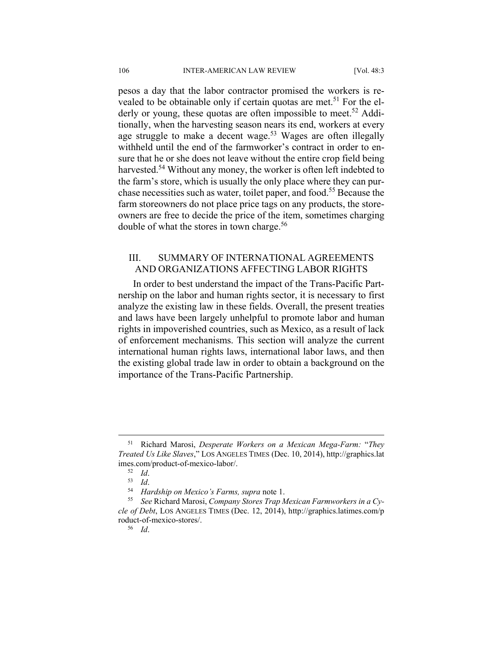pesos a day that the labor contractor promised the workers is revealed to be obtainable only if certain quotas are met.<sup>51</sup> For the elderly or young, these quotas are often impossible to meet.<sup>52</sup> Additionally, when the harvesting season nears its end, workers at every age struggle to make a decent wage.<sup>53</sup> Wages are often illegally withheld until the end of the farmworker's contract in order to ensure that he or she does not leave without the entire crop field being harvested.<sup>54</sup> Without any money, the worker is often left indebted to the farm's store, which is usually the only place where they can purchase necessities such as water, toilet paper, and food.55 Because the farm storeowners do not place price tags on any products, the storeowners are free to decide the price of the item, sometimes charging double of what the stores in town charge.<sup>56</sup>

#### III. SUMMARY OF INTERNATIONAL AGREEMENTS AND ORGANIZATIONS AFFECTING LABOR RIGHTS

In order to best understand the impact of the Trans-Pacific Partnership on the labor and human rights sector, it is necessary to first analyze the existing law in these fields. Overall, the present treaties and laws have been largely unhelpful to promote labor and human rights in impoverished countries, such as Mexico, as a result of lack of enforcement mechanisms. This section will analyze the current international human rights laws, international labor laws, and then the existing global trade law in order to obtain a background on the importance of the Trans-Pacific Partnership.

 <sup>51</sup> Richard Marosi, *Desperate Workers on a Mexican Mega-Farm:* "*They Treated Us Like Slaves*," LOS ANGELES TIMES (Dec. 10, 2014), http://graphics.lat imes.com/product-of-mexico-labor/.<br><sup>52</sup> *Id.*<br><sup>54</sup> *Hardship on Mexico's Farms, supra* note 1.<br><sup>55</sup> See Richard Marosi, *Company Stores Trap Mexican Farmworkers in a Cy-*

*cle of Debt*, LOS ANGELES TIMES (Dec. 12, 2014), http://graphics.latimes.com/p roduct-of-mexico-stores/. 56 *Id*.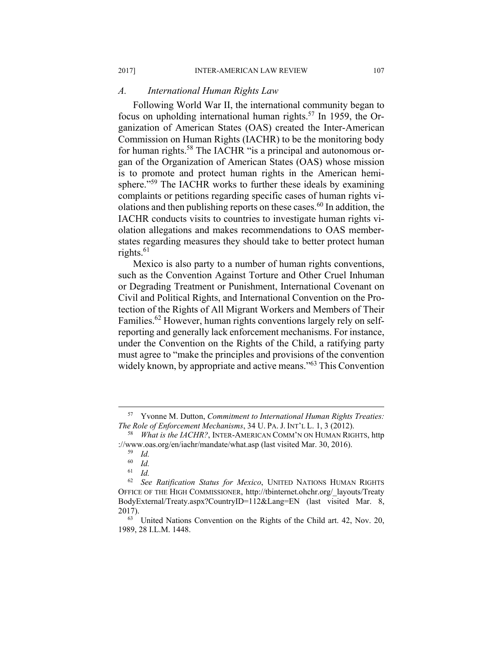#### *A. International Human Rights Law*

Following World War II, the international community began to focus on upholding international human rights.57 In 1959, the Organization of American States (OAS) created the Inter-American Commission on Human Rights (IACHR) to be the monitoring body for human rights.<sup>58</sup> The IACHR "is a principal and autonomous organ of the Organization of American States (OAS) whose mission is to promote and protect human rights in the American hemisphere."<sup>59</sup> The IACHR works to further these ideals by examining complaints or petitions regarding specific cases of human rights violations and then publishing reports on these cases.<sup>60</sup> In addition, the IACHR conducts visits to countries to investigate human rights violation allegations and makes recommendations to OAS memberstates regarding measures they should take to better protect human rights. $61$ 

Mexico is also party to a number of human rights conventions, such as the Convention Against Torture and Other Cruel Inhuman or Degrading Treatment or Punishment, International Covenant on Civil and Political Rights, and International Convention on the Protection of the Rights of All Migrant Workers and Members of Their Families.<sup>62</sup> However, human rights conventions largely rely on selfreporting and generally lack enforcement mechanisms. For instance, under the Convention on the Rights of the Child, a ratifying party must agree to "make the principles and provisions of the convention widely known, by appropriate and active means.<sup>563</sup> This Convention

 <sup>57</sup> Yvonne M. Dutton, *Commitment to International Human Rights Treaties: The Role of Enforcement Mechanisms*, 34 U. PA. J. INT'L L. 1, 3 (2012).<br><sup>58</sup> *What is the IACHR?*, INTER-AMERICAN COMM'N ON HUMAN RIGHTS, http

<sup>://</sup>www.oas.org/en/iachr/mandate/what.asp (last visited Mar. 30, 2016). 59 *Id.* 

 $\begin{array}{cc} 60 & Id. \\ 61 & Id. \end{array}$ 

<sup>61</sup> *Id.* 

<sup>62</sup> *See Ratification Status for Mexico*, UNITED NATIONS HUMAN RIGHTS OFFICE OF THE HIGH COMMISSIONER, http://tbinternet.ohchr.org/\_layouts/Treaty BodyExternal/Treaty.aspx?CountryID=112&Lang=EN (last visited Mar. 8, 2017). 63 United Nations Convention on the Rights of the Child art. 42, Nov. 20,

<sup>1989, 28</sup> I.L.M. 1448.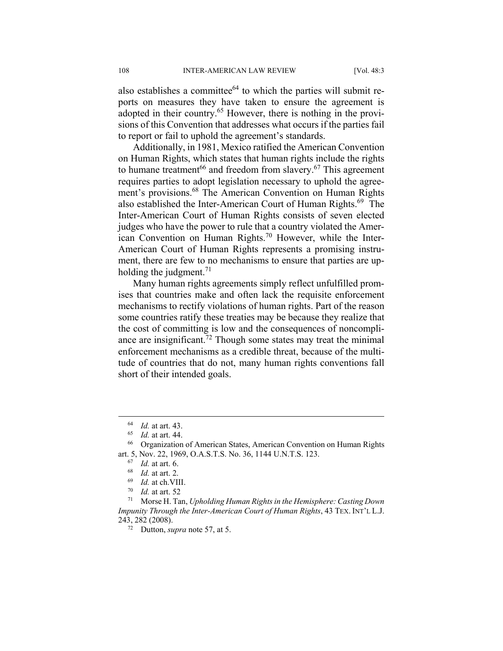also establishes a committee<sup> $64$ </sup> to which the parties will submit reports on measures they have taken to ensure the agreement is adopted in their country.<sup>65</sup> However, there is nothing in the provisions of this Convention that addresses what occurs if the parties fail to report or fail to uphold the agreement's standards.

Additionally, in 1981, Mexico ratified the American Convention on Human Rights, which states that human rights include the rights to humane treatment<sup>66</sup> and freedom from slavery.<sup>67</sup> This agreement requires parties to adopt legislation necessary to uphold the agreement's provisions.<sup>68</sup> The American Convention on Human Rights also established the Inter-American Court of Human Rights.<sup>69</sup> The Inter-American Court of Human Rights consists of seven elected judges who have the power to rule that a country violated the American Convention on Human Rights.<sup>70</sup> However, while the Inter-American Court of Human Rights represents a promising instrument, there are few to no mechanisms to ensure that parties are upholding the judgment.<sup>71</sup>

Many human rights agreements simply reflect unfulfilled promises that countries make and often lack the requisite enforcement mechanisms to rectify violations of human rights. Part of the reason some countries ratify these treaties may be because they realize that the cost of committing is low and the consequences of noncompliance are insignificant.<sup>72</sup> Though some states may treat the minimal enforcement mechanisms as a credible threat, because of the multitude of countries that do not, many human rights conventions fall short of their intended goals.

<sup>64</sup> *Id.* at art. 43. 65 *Id.* at art. 44. 66 Organization of American States, American Convention on Human Rights art. 5, Nov. 22, 1969, O.A.S.T.S. No. 36, 1144 U.N.T.S. 123.<br>
<sup>67</sup> Id. at art. 6.<br>
<sup>68</sup> Id. at art. 2.<br>
<sup>69</sup> Id. at ch. VIII.<br>
<sup>70</sup> Id. at art. 52<br>
<sup>71</sup> Morse H. Tan, *Upholding Human Rights in the Hemisphere: Casting Dow* 

*Impunity Through the Inter-American Court of Human Rights*, 43 TEX. INT'L L.J. 243, 282 (2008). 72 Dutton, *supra* note 57, at 5.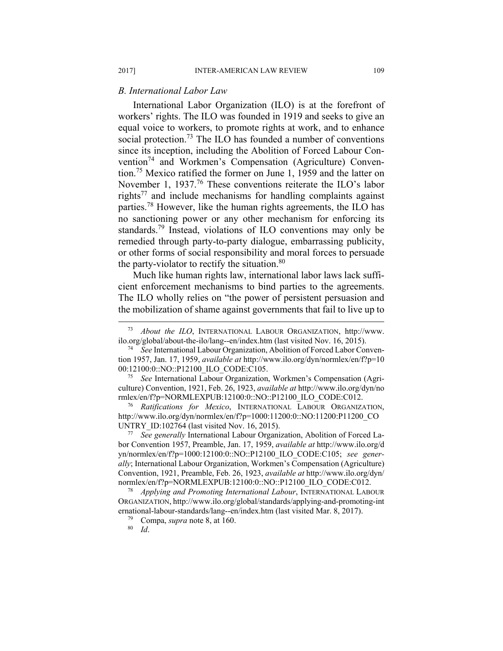#### *B. International Labor Law*

International Labor Organization (ILO) is at the forefront of workers' rights. The ILO was founded in 1919 and seeks to give an equal voice to workers, to promote rights at work, and to enhance social protection.<sup>73</sup> The ILO has founded a number of conventions since its inception, including the Abolition of Forced Labour Convention<sup>74</sup> and Workmen's Compensation (Agriculture) Convention.75 Mexico ratified the former on June 1, 1959 and the latter on November 1, 1937.<sup>76</sup> These conventions reiterate the ILO's labor rights77 and include mechanisms for handling complaints against parties.78 However, like the human rights agreements, the ILO has no sanctioning power or any other mechanism for enforcing its standards.<sup>79</sup> Instead, violations of ILO conventions may only be remedied through party-to-party dialogue, embarrassing publicity, or other forms of social responsibility and moral forces to persuade the party-violator to rectify the situation. $80$ 

Much like human rights law, international labor laws lack sufficient enforcement mechanisms to bind parties to the agreements. The ILO wholly relies on "the power of persistent persuasion and the mobilization of shame against governments that fail to live up to

culture) Convention, 1921, Feb. 26, 1923, *available at* http://www.ilo.org/dyn/no

rmlex/en/f?p=NORMLEXPUB:12100:0::NO::P12100\_ILO\_CODE:C012. 76 *Ratifications for Mexico*, INTERNATIONAL LABOUR ORGANIZATION, http://www.ilo.org/dyn/normlex/en/f?p=1000:11200:0::NO:11200:P11200\_CO UNTRY\_ID:102764 (last visited Nov. 16, 2015). 77 *See generally* International Labour Organization, Abolition of Forced La-

bor Convention 1957, Preamble, Jan. 17, 1959, *available at* http://www.ilo.org/d yn/normlex/en/f?p=1000:12100:0::NO::P12100\_ILO\_CODE:C105; *see generally*; International Labour Organization, Workmen's Compensation (Agriculture) Convention, 1921, Preamble, Feb. 26, 1923, *available at* http://www.ilo.org/dyn/ normlex/en/f?p=NORMLEXPUB:12100:0::NO::P12100\_ILO\_CODE:C012. 78 *Applying and Promoting International Labour*, INTERNATIONAL LABOUR

ORGANIZATION, http://www.ilo.org/global/standards/applying-and-promoting-int ernational-labour-standards/lang--en/index.htm (last visited Mar. 8, 2017).<br><sup>79</sup> Compa, *supra* note 8, at 160.<br><sup>80</sup> *Id*.

 <sup>73</sup> *About the ILO*, INTERNATIONAL LABOUR ORGANIZATION, http://www. ilo.org/global/about-the-ilo/lang--en/index.htm (last visited Nov. 16, 2015). 74 *See* International Labour Organization, Abolition of Forced Labor Conven-

tion 1957, Jan. 17, 1959, *available at* http://www.ilo.org/dyn/normlex/en/f?p=10 00:12100:0::NO::P12100\_ILO\_CODE:C105. 75 *See* International Labour Organization, Workmen's Compensation (Agri-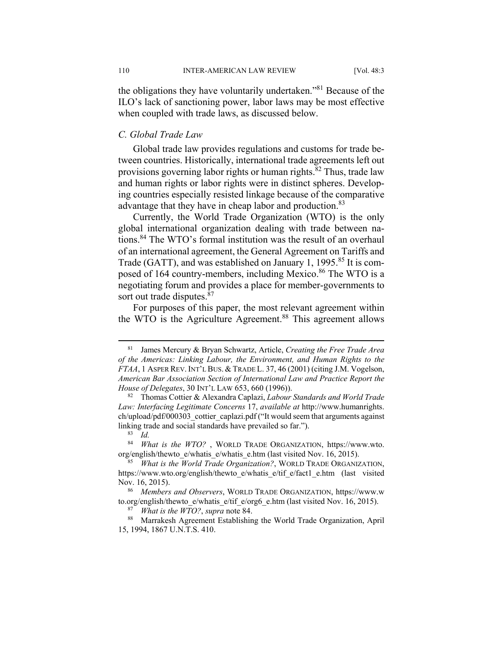the obligations they have voluntarily undertaken."81 Because of the ILO's lack of sanctioning power, labor laws may be most effective when coupled with trade laws, as discussed below.

#### *C. Global Trade Law*

Global trade law provides regulations and customs for trade between countries. Historically, international trade agreements left out provisions governing labor rights or human rights.<sup>82</sup> Thus, trade law and human rights or labor rights were in distinct spheres. Developing countries especially resisted linkage because of the comparative advantage that they have in cheap labor and production.<sup>83</sup>

Currently, the World Trade Organization (WTO) is the only global international organization dealing with trade between nations.84 The WTO's formal institution was the result of an overhaul of an international agreement, the General Agreement on Tariffs and Trade (GATT), and was established on January 1, 1995.<sup>85</sup> It is composed of 164 country-members, including Mexico.<sup>86</sup> The WTO is a negotiating forum and provides a place for member-governments to sort out trade disputes.<sup>87</sup>

For purposes of this paper, the most relevant agreement within the WTO is the Agriculture Agreement.<sup>88</sup> This agreement allows

 <sup>81</sup> James Mercury & Bryan Schwartz, Article, *Creating the Free Trade Area of the Americas: Linking Labour, the Environment, and Human Rights to the FTAA*, 1 ASPER REV.INT'L BUS. & TRADE L. 37, 46 (2001) (citing J.M. Vogelson, *American Bar Association Section of International Law and Practice Report the* 

*House of Delegates*, 30 INT'L LAW 653, 660 (1996)). 82 Thomas Cottier & Alexandra Caplazi, *Labour Standards and World Trade Law: Interfacing Legitimate Concerns* 17, *available at* http://www.humanrights. ch/upload/pdf/000303\_cottier\_caplazi.pdf ("It would seem that arguments against linking trade and social standards have prevailed so far."). 83 *Id.*

<sup>84</sup> *What is the WTO?* , WORLD TRADE ORGANIZATION, https://www.wto. org/english/thewto\_e/whatis\_e/whatis\_e.htm (last visited Nov. 16, 2015). 85 *What is the World Trade Organization?*, WORLD TRADE ORGANIZATION,

https://www.wto.org/english/thewto\_e/whatis\_e/tif\_e/fact1\_e.htm (last visited Nov. 16, 2015). 86 *Members and Observers*, WORLD TRADE ORGANIZATION, https://www.w

to.org/english/thewto\_e/whatis\_e/tif\_e/org6\_e.htm (last visited Nov. 16, 2015).<br><sup>87</sup> *What is the WTO?*, *supra* note 84.<br><sup>88</sup> Marrakesh Agreement Establishing the World Trade Organization, April

<sup>15, 1994, 1867</sup> U.N.T.S. 410.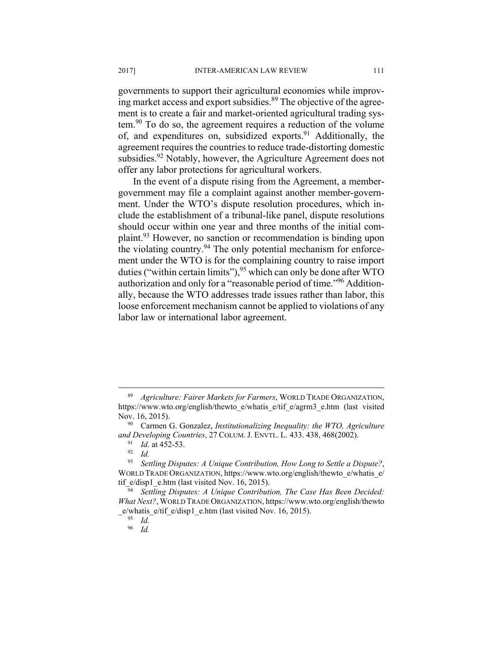governments to support their agricultural economies while improving market access and export subsidies. $89$  The objective of the agreement is to create a fair and market-oriented agricultural trading system.90 To do so, the agreement requires a reduction of the volume of, and expenditures on, subsidized exports.<sup>91</sup> Additionally, the agreement requires the countries to reduce trade-distorting domestic subsidies.<sup>92</sup> Notably, however, the Agriculture Agreement does not offer any labor protections for agricultural workers.

In the event of a dispute rising from the Agreement, a membergovernment may file a complaint against another member-government. Under the WTO's dispute resolution procedures, which include the establishment of a tribunal-like panel, dispute resolutions should occur within one year and three months of the initial complaint.93 However, no sanction or recommendation is binding upon the violating country.94 The only potential mechanism for enforcement under the WTO is for the complaining country to raise import duties ("within certain limits"),  $95$  which can only be done after WTO authorization and only for a "reasonable period of time."96 Additionally, because the WTO addresses trade issues rather than labor, this loose enforcement mechanism cannot be applied to violations of any labor law or international labor agreement.

 <sup>89</sup> *Agriculture: Fairer Markets for Farmers*, WORLD TRADE ORGANIZATION, https://www.wto.org/english/thewto\_e/whatis\_e/tif\_e/agrm3\_e.htm (last visited Nov. 16, 2015). 90 Carmen G. Gonzalez, *Institutionalizing Inequality: the WTO, Agriculture* 

*and Developing Countries*, 27 COLUM. J. ENVTL. L. 433. 438, 468(2002). 91 *Id.* at 452-53. 92 *Id.* 

<sup>93</sup> *Settling Disputes: A Unique Contribution, How Long to Settle a Dispute?*, WORLD TRADE ORGANIZATION, https://www.wto.org/english/thewto\_e/whatis\_e/ tif\_e/disp1\_e.htm (last visited Nov. 16, 2015).<br><sup>94</sup> Settling Disputes: A Unique Contribution, The Case Has Been Decided:

*What Next?*, WORLD TRADE ORGANIZATION, https://www.wto.org/english/thewto \_e/whatis\_e/tif\_e/disp1\_e.htm (last visited Nov. 16, 2015). 95 *Id.*

<sup>96</sup> *Id.*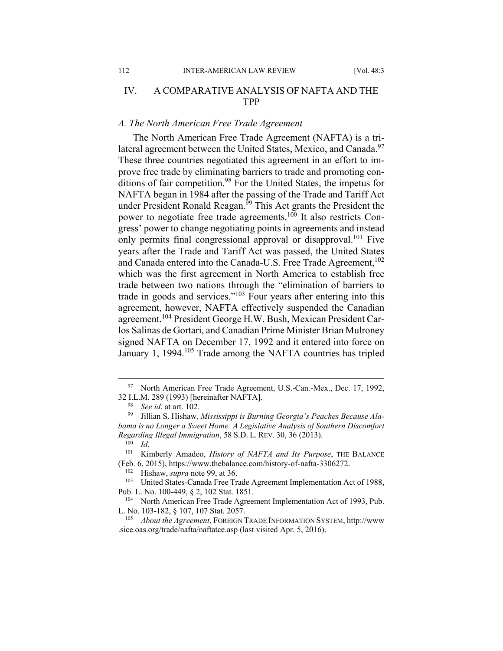#### IV. A COMPARATIVE ANALYSIS OF NAFTA AND THE TPP

#### *A. The North American Free Trade Agreement*

The North American Free Trade Agreement (NAFTA) is a trilateral agreement between the United States, Mexico, and Canada.<sup>97</sup> These three countries negotiated this agreement in an effort to improve free trade by eliminating barriers to trade and promoting conditions of fair competition.<sup>98</sup> For the United States, the impetus for NAFTA began in 1984 after the passing of the Trade and Tariff Act under President Ronald Reagan.<sup>99</sup> This Act grants the President the power to negotiate free trade agreements.<sup>100</sup> It also restricts Congress' power to change negotiating points in agreements and instead only permits final congressional approval or disapproval.<sup>101</sup> Five years after the Trade and Tariff Act was passed, the United States and Canada entered into the Canada-U.S. Free Trade Agreement,<sup>102</sup> which was the first agreement in North America to establish free trade between two nations through the "elimination of barriers to trade in goods and services."103 Four years after entering into this agreement, however, NAFTA effectively suspended the Canadian agreement.104 President George H.W. Bush, Mexican President Carlos Salinas de Gortari, and Canadian Prime Minister Brian Mulroney signed NAFTA on December 17, 1992 and it entered into force on January 1, 1994.<sup>105</sup> Trade among the NAFTA countries has tripled

<sup>&</sup>lt;sup>97</sup> North American Free Trade Agreement, U.S.-Can.-Mex., Dec. 17, 1992, 32 I.L.M. 289 (1993) [hereinafter NAFTA]. 98 *See id*. at art. 102. 99 Jillian S. Hishaw, *Mississippi is Burning Georgia's Peaches Because Ala-*

*bama is no Longer a Sweet Home: A Legislative Analysis of Southern Discomfort Regarding Illegal Immigration*, 58 S.D. L. REV. 30, 36 (2013).<br><sup>100</sup> *Id.* Kimberly Amadeo, *History of NAFTA and Its Purpose*, THE BALANCE

<sup>(</sup>Feb. 6, 2015), https://www.thebalance.com/history-of-nafta-3306272. 102 Hishaw, *supra* note 99, at 36. 103 United States-Canada Free Trade Agreement Implementation Act of 1988,

Pub. L. No. 100-449, § 2, 102 Stat. 1851.<br><sup>104</sup> North American Free Trade Agreement Implementation Act of 1993, Pub.

L. No. 103-182, § 107, 107 Stat. 2057. 105 *About the Agreement*, FOREIGN TRADE INFORMATION SYSTEM, http://www

<sup>.</sup>sice.oas.org/trade/nafta/naftatce.asp (last visited Apr. 5, 2016).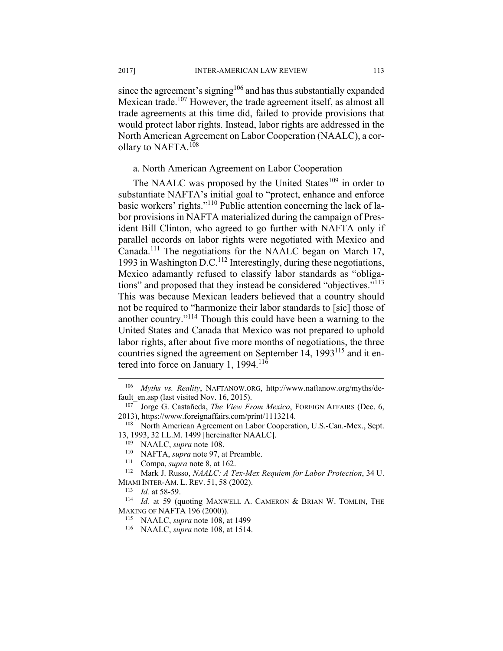since the agreement's signing<sup>106</sup> and has thus substantially expanded Mexican trade.<sup>107</sup> However, the trade agreement itself, as almost all trade agreements at this time did, failed to provide provisions that would protect labor rights. Instead, labor rights are addressed in the North American Agreement on Labor Cooperation (NAALC), a corollary to NAFTA.<sup>108</sup>

#### a. North American Agreement on Labor Cooperation

The NAALC was proposed by the United States<sup>109</sup> in order to substantiate NAFTA's initial goal to "protect, enhance and enforce basic workers' rights."110 Public attention concerning the lack of labor provisions in NAFTA materialized during the campaign of President Bill Clinton, who agreed to go further with NAFTA only if parallel accords on labor rights were negotiated with Mexico and Canada.111 The negotiations for the NAALC began on March 17, 1993 in Washington D.C.<sup>112</sup> Interestingly, during these negotiations, Mexico adamantly refused to classify labor standards as "obligations" and proposed that they instead be considered "objectives."<sup>113</sup> This was because Mexican leaders believed that a country should not be required to "harmonize their labor standards to [sic] those of another country."114 Though this could have been a warning to the United States and Canada that Mexico was not prepared to uphold labor rights, after about five more months of negotiations, the three countries signed the agreement on September 14, 1993<sup>115</sup> and it entered into force on January 1, 1994.<sup>116</sup>

<sup>106</sup> *Myths vs. Reality*, NAFTANOW.ORG, http://www.naftanow.org/myths/default\_en.asp (last visited Nov. 16, 2015). 107 Jorge G. Castañeda, *The View From Mexico*, FOREIGN AFFAIRS (Dec. 6,

<sup>2013),</sup> https://www.foreignaffairs.com/print/1113214.<br><sup>108</sup> North American Agreement on Labor Cooperation, U.S.-Can.-Mex., Sept.

<sup>13, 1993, 32</sup> I.L.M. 1499 [hereinafter NAALC].<br><sup>109</sup> NAALC, *supra* note 108.<br><sup>110</sup> NAFTA, *supra* note 97, at Preamble.<br><sup>111</sup> Compa, *supra* note 8, at 162.<br><sup>112</sup> Mark J. Russo, *NAALC: A Tex-Mex Requiem for Labor Protect* 

MIAMI INTER-AM. L. REV. 51, 58 (2002).<br><sup>113</sup> *Id.* at 58-59.<br><sup>114</sup> *Id.* at 59 (quoting MAXWELL A. CAMERON & BRIAN W. TOMLIN, THE

MAKING OF NAFTA 196 (2000)). 115 NAALC, *supra* note 108, at 1499 116 NAALC, *supra* note 108, at 1514.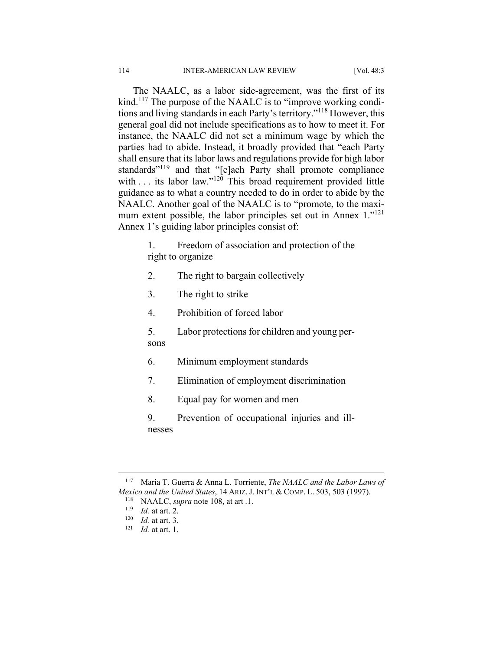The NAALC, as a labor side-agreement, was the first of its kind.<sup>117</sup> The purpose of the NAALC is to "improve working conditions and living standards in each Party's territory."118 However, this general goal did not include specifications as to how to meet it. For instance, the NAALC did not set a minimum wage by which the parties had to abide. Instead, it broadly provided that "each Party shall ensure that its labor laws and regulations provide for high labor standards"<sup>119</sup> and that "[e]ach Party shall promote compliance with  $\ldots$  its labor law."<sup>120</sup> This broad requirement provided little guidance as to what a country needed to do in order to abide by the NAALC. Another goal of the NAALC is to "promote, to the maximum extent possible, the labor principles set out in Annex 1."<sup>121</sup> Annex 1's guiding labor principles consist of:

- 1. Freedom of association and protection of the right to organize
- 2. The right to bargain collectively
- 3. The right to strike
- 4. Prohibition of forced labor
- 5. Labor protections for children and young persons
- 
- 6. Minimum employment standards
- 7. Elimination of employment discrimination
- 8. Equal pay for women and men
- 9. Prevention of occupational injuries and illnesses

1

<sup>117</sup> Maria T. Guerra & Anna L. Torriente, *The NAALC and the Labor Laws of Mexico and the United States*, 14 ARIZ. J. INT'L & COMP. L. 503, 503 (1997).<br><sup>118</sup> NAALC, *supra* note 108, at art .1.<br><sup>119</sup> *Id.* at art. 2.<br><sup>120</sup> *Id.* at art. 3.<br><sup>121</sup> *Id.* at art. 1.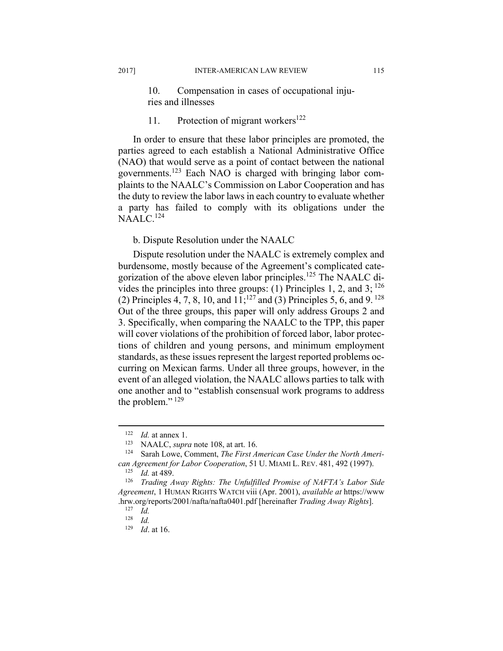10. Compensation in cases of occupational injuries and illnesses

#### 11. Protection of migrant workers<sup>122</sup>

In order to ensure that these labor principles are promoted, the parties agreed to each establish a National Administrative Office (NAO) that would serve as a point of contact between the national governments.123 Each NAO is charged with bringing labor complaints to the NAALC's Commission on Labor Cooperation and has the duty to review the labor laws in each country to evaluate whether a party has failed to comply with its obligations under the NAALC.<sup>124</sup>

#### b. Dispute Resolution under the NAALC

Dispute resolution under the NAALC is extremely complex and burdensome, mostly because of the Agreement's complicated categorization of the above eleven labor principles.125 The NAALC divides the principles into three groups: (1) Principles 1, 2, and 3;  $^{126}$ (2) Principles 4, 7, 8, 10, and  $11$ ;<sup>127</sup> and (3) Principles 5, 6, and 9.<sup>128</sup> Out of the three groups, this paper will only address Groups 2 and 3. Specifically, when comparing the NAALC to the TPP, this paper will cover violations of the prohibition of forced labor, labor protections of children and young persons, and minimum employment standards, as these issues represent the largest reported problems occurring on Mexican farms. Under all three groups, however, in the event of an alleged violation, the NAALC allows parties to talk with one another and to "establish consensual work programs to address the problem."<sup>129</sup>

<sup>122</sup> *Id.* at annex 1.<br>
<sup>123</sup> NAALC, *supra* note 108, at art. 16.<br>
<sup>124</sup> Sarah Lowe, Comment, *The First American Case Under the North American Agreement for Labor Cooperation*, 51 U. MIAMI L. REV. 481, 492 (1997).<br><sup>125</sup> *Id.* at 489. 126 *Trading Away Rights: The Unfulfilled Promise of NAFTA's Labor Side* 

*Agreement*, 1 HUMAN RIGHTS WATCH viii (Apr. 2001), *available at* https://www .hrw.org/reports/2001/nafta/nafta0401.pdf [hereinafter *Trading Away Rights*]. 127 *Id.*

 $\frac{128}{129}$  *Id. Id.* at 16.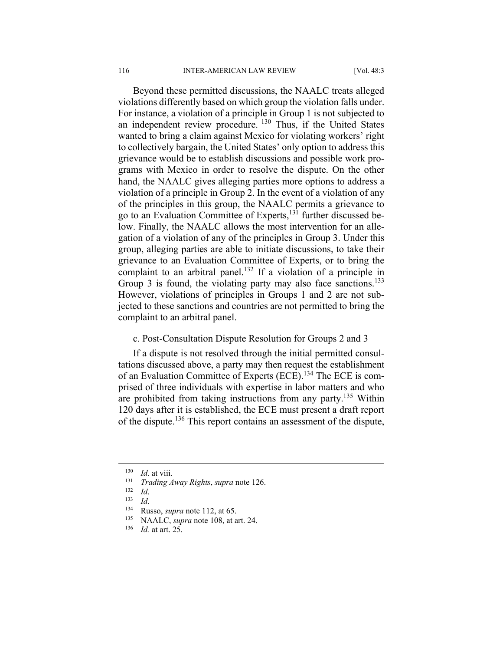Beyond these permitted discussions, the NAALC treats alleged violations differently based on which group the violation falls under. For instance, a violation of a principle in Group 1 is not subjected to an independent review procedure. 130 Thus, if the United States wanted to bring a claim against Mexico for violating workers' right to collectively bargain, the United States' only option to address this grievance would be to establish discussions and possible work programs with Mexico in order to resolve the dispute. On the other hand, the NAALC gives alleging parties more options to address a violation of a principle in Group 2. In the event of a violation of any of the principles in this group, the NAALC permits a grievance to go to an Evaluation Committee of Experts,131 further discussed below. Finally, the NAALC allows the most intervention for an allegation of a violation of any of the principles in Group 3. Under this group, alleging parties are able to initiate discussions, to take their grievance to an Evaluation Committee of Experts, or to bring the complaint to an arbitral panel.<sup>132</sup> If a violation of a principle in Group 3 is found, the violating party may also face sanctions.<sup>133</sup> However, violations of principles in Groups 1 and 2 are not subjected to these sanctions and countries are not permitted to bring the complaint to an arbitral panel.

#### c. Post-Consultation Dispute Resolution for Groups 2 and 3

If a dispute is not resolved through the initial permitted consultations discussed above, a party may then request the establishment of an Evaluation Committee of Experts (ECE).134 The ECE is comprised of three individuals with expertise in labor matters and who are prohibited from taking instructions from any party.135 Within 120 days after it is established, the ECE must present a draft report of the dispute.136 This report contains an assessment of the dispute,

<sup>130</sup> *Id.* at viii.<br>
131 *Trading Away Rights, supra* note 126.<br>
132 *Id.*<br>
134 Russo, *supra* note 112, at 65.<br>
135 NAALC, *supra* note 108, at art. 24.<br>
136 *Id.* at art. 25.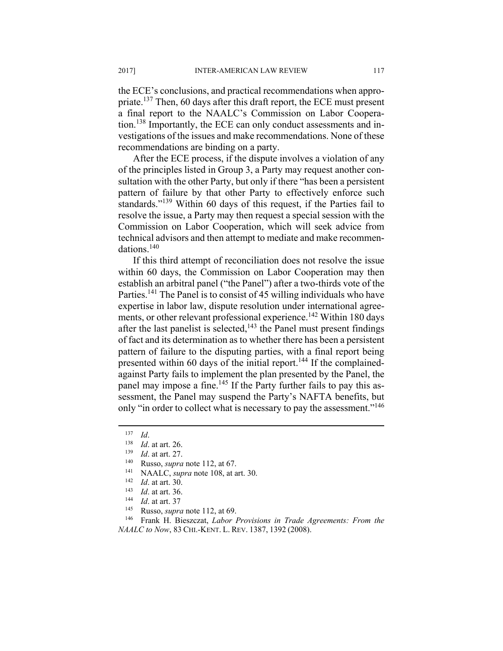the ECE's conclusions, and practical recommendations when appropriate.137 Then, 60 days after this draft report, the ECE must present a final report to the NAALC's Commission on Labor Cooperation.138 Importantly, the ECE can only conduct assessments and investigations of the issues and make recommendations. None of these recommendations are binding on a party.

After the ECE process, if the dispute involves a violation of any of the principles listed in Group 3, a Party may request another consultation with the other Party, but only if there "has been a persistent pattern of failure by that other Party to effectively enforce such standards."<sup>139</sup> Within 60 days of this request, if the Parties fail to resolve the issue, a Party may then request a special session with the Commission on Labor Cooperation, which will seek advice from technical advisors and then attempt to mediate and make recommendations.<sup>140</sup>

If this third attempt of reconciliation does not resolve the issue within 60 days, the Commission on Labor Cooperation may then establish an arbitral panel ("the Panel") after a two-thirds vote of the Parties.<sup>141</sup> The Panel is to consist of 45 willing individuals who have expertise in labor law, dispute resolution under international agreements, or other relevant professional experience.<sup>142</sup> Within 180 days after the last panelist is selected,<sup>143</sup> the Panel must present findings of fact and its determination as to whether there has been a persistent pattern of failure to the disputing parties, with a final report being presented within 60 days of the initial report.<sup>144</sup> If the complainedagainst Party fails to implement the plan presented by the Panel, the panel may impose a fine.<sup>145</sup> If the Party further fails to pay this assessment, the Panel may suspend the Party's NAFTA benefits, but only "in order to collect what is necessary to pay the assessment."<sup>146</sup>

<sup>&</sup>lt;sup>137</sup> *Id.*<br>
<sup>138</sup> *Id.* at art. 26.<br>
<sup>139</sup> *Id.* at art. 27.<br>
<sup>140</sup> Russo, *supra* note 112, at 67.<br>
<sup>141</sup> NAALC, *supra* note 108, at art. 30.<br>
<sup>142</sup> *Id.* at art. 30.<br>
<sup>143</sup> *Id.* at art. 36.<br>
<sup>143</sup> *Id.* at art. 37<br>
<sup></sup> *NAALC to Now*, 83 CHI.-KENT. L. REV. 1387, 1392 (2008).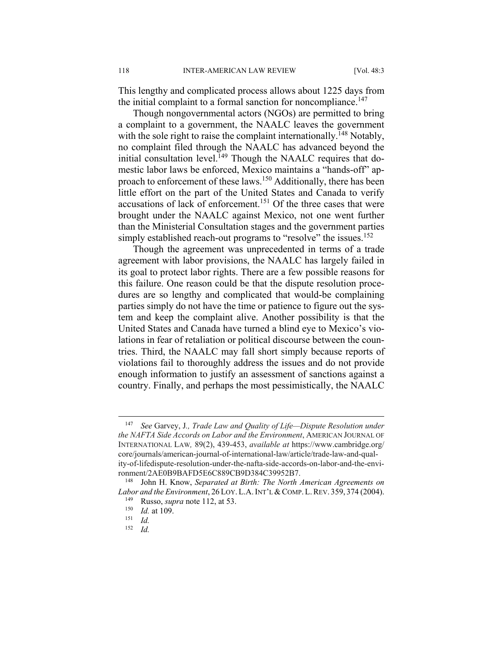This lengthy and complicated process allows about 1225 days from the initial complaint to a formal sanction for noncompliance.<sup>147</sup>

Though nongovernmental actors (NGOs) are permitted to bring a complaint to a government, the NAALC leaves the government with the sole right to raise the complaint internationally.<sup>148</sup> Notably, no complaint filed through the NAALC has advanced beyond the initial consultation level.<sup>149</sup> Though the NAALC requires that domestic labor laws be enforced, Mexico maintains a "hands-off" approach to enforcement of these laws.150 Additionally, there has been little effort on the part of the United States and Canada to verify accusations of lack of enforcement.<sup>151</sup> Of the three cases that were brought under the NAALC against Mexico, not one went further than the Ministerial Consultation stages and the government parties simply established reach-out programs to "resolve" the issues.<sup>152</sup>

Though the agreement was unprecedented in terms of a trade agreement with labor provisions, the NAALC has largely failed in its goal to protect labor rights. There are a few possible reasons for this failure. One reason could be that the dispute resolution procedures are so lengthy and complicated that would-be complaining parties simply do not have the time or patience to figure out the system and keep the complaint alive. Another possibility is that the United States and Canada have turned a blind eye to Mexico's violations in fear of retaliation or political discourse between the countries. Third, the NAALC may fall short simply because reports of violations fail to thoroughly address the issues and do not provide enough information to justify an assessment of sanctions against a country. Finally, and perhaps the most pessimistically, the NAALC

<sup>147</sup> *See* Garvey, J*., Trade Law and Quality of Life—Dispute Resolution under the NAFTA Side Accords on Labor and the Environment*, AMERICAN JOURNAL OF INTERNATIONAL LAW*,* 89(2), 439-453, *available at* https://www.cambridge.org/ core/journals/american-journal-of-international-law/article/trade-law-and-quality-of-lifedispute-resolution-under-the-nafta-side-accords-on-labor-and-the-environment/2AE0B9BAFD5E6C889CB9D384C39952B7.

<sup>148</sup> John H. Know, *Separated at Birth: The North American Agreements on Labor and the Environment*, 26 LOY. L.A. INT'L & COMP. L. REV. 359, 374 (2004).<br><sup>149</sup> Russo, *supra* note 112, at 53.<br><sup>150</sup> *Id.* at 109.<br><sup>151</sup> *Id.* 

<sup>152</sup> *Id.*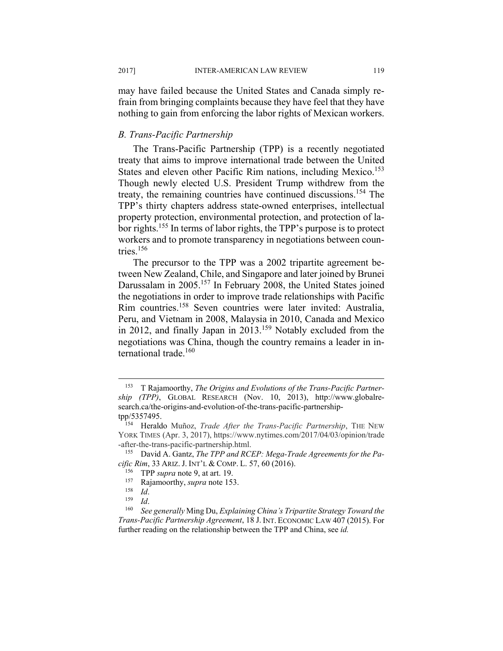may have failed because the United States and Canada simply refrain from bringing complaints because they have feel that they have nothing to gain from enforcing the labor rights of Mexican workers.

#### *B. Trans-Pacific Partnership*

The Trans-Pacific Partnership (TPP) is a recently negotiated treaty that aims to improve international trade between the United States and eleven other Pacific Rim nations, including Mexico.<sup>153</sup> Though newly elected U.S. President Trump withdrew from the treaty, the remaining countries have continued discussions.154 The TPP's thirty chapters address state-owned enterprises, intellectual property protection, environmental protection, and protection of labor rights.<sup>155</sup> In terms of labor rights, the TPP's purpose is to protect workers and to promote transparency in negotiations between countries.156

The precursor to the TPP was a 2002 tripartite agreement between New Zealand, Chile, and Singapore and later joined by Brunei Darussalam in 2005.<sup>157</sup> In February 2008, the United States joined the negotiations in order to improve trade relationships with Pacific Rim countries.158 Seven countries were later invited: Australia, Peru, and Vietnam in 2008, Malaysia in 2010, Canada and Mexico in 2012, and finally Japan in 2013.<sup>159</sup> Notably excluded from the negotiations was China, though the country remains a leader in international trade.<sup>160</sup>

<sup>153</sup> T Rajamoorthy, *The Origins and Evolutions of the Trans-Pacific Partnership (TPP)*, GLOBAL RESEARCH (Nov. 10, 2013), http://www.globalresearch.ca/the-origins-and-evolution-of-the-trans-pacific-partnershiptpp/5357495.

<sup>154</sup> Heraldo Muñoz, *Trade After the Trans-Pacific Partnership*, THE NEW YORK TIMES (Apr. 3, 2017), https://www.nytimes.com/2017/04/03/opinion/trade -after-the-trans-pacific-partnership.html.

<sup>155</sup> David A. Gantz, *The TPP and RCEP: Mega-Trade Agreements for the Pacific Rim,* 33 ARIZ. J. INT'L & COMP. L. 57, 60 (2016).<br><sup>156</sup> TPP *supra* note 9, at art. 19.<br><sup>157</sup> Rajamoorthy, *supra* note 153.<br><sup>158</sup> Id.<br><sup>159</sup> Id.<br><sup>160</sup> See generally Ming Du, Explaining China's Tripartite Strategy T

*Trans-Pacific Partnership Agreement*, 18 J. INT. ECONOMIC LAW 407 (2015). For further reading on the relationship between the TPP and China, see *id.*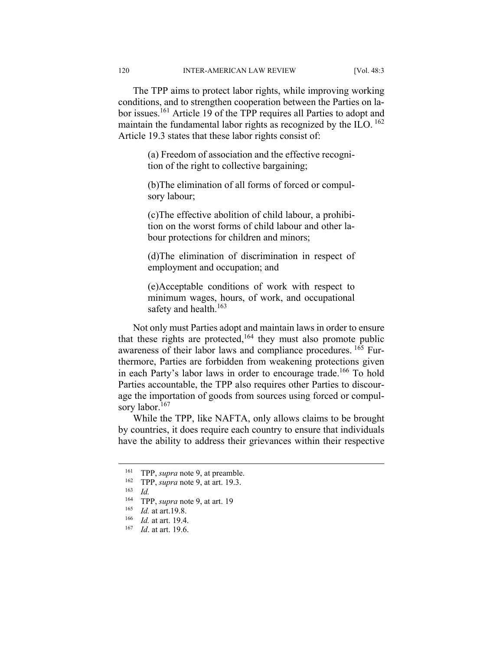The TPP aims to protect labor rights, while improving working conditions, and to strengthen cooperation between the Parties on labor issues.161 Article 19 of the TPP requires all Parties to adopt and maintain the fundamental labor rights as recognized by the ILO.  $^{162}$ Article 19.3 states that these labor rights consist of:

> (a) Freedom of association and the effective recognition of the right to collective bargaining;

> (b)The elimination of all forms of forced or compulsory labour;

> (c)The effective abolition of child labour, a prohibition on the worst forms of child labour and other labour protections for children and minors;

> (d)The elimination of discrimination in respect of employment and occupation; and

> (e)Acceptable conditions of work with respect to minimum wages, hours, of work, and occupational safety and health.<sup>163</sup>

Not only must Parties adopt and maintain laws in order to ensure that these rights are protected, $164$  they must also promote public awareness of their labor laws and compliance procedures. 165 Furthermore, Parties are forbidden from weakening protections given in each Party's labor laws in order to encourage trade.<sup>166</sup> To hold Parties accountable, the TPP also requires other Parties to discourage the importation of goods from sources using forced or compulsory labor.<sup>167</sup>

While the TPP, like NAFTA, only allows claims to be brought by countries, it does require each country to ensure that individuals have the ability to address their grievances within their respective

<sup>161</sup> TPP, *supra* note 9, at preamble. 162 TPP, *supra* note 9, at art. 19.3. 163 *Id.*

<sup>&</sup>lt;sup>164</sup> TPP, *supra* note 9, at art. 19

<sup>165</sup> *Id.* at art.19.8. 166 *Id.* at art. 19.4. 167 *Id*. at art. 19.6.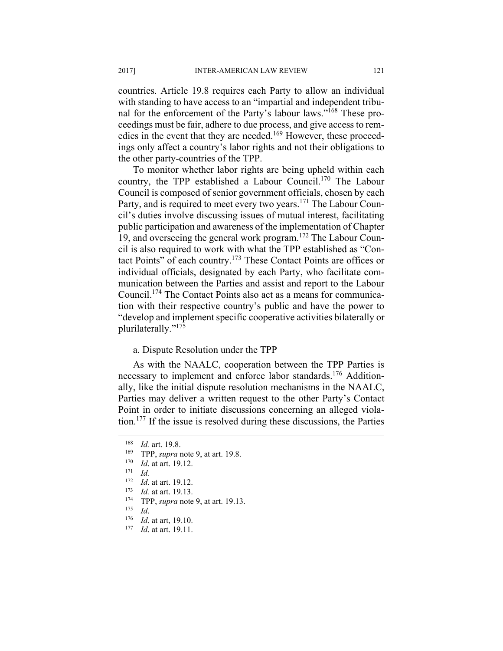countries. Article 19.8 requires each Party to allow an individual with standing to have access to an "impartial and independent tribunal for the enforcement of the Party's labour laws."168 These proceedings must be fair, adhere to due process, and give access to remedies in the event that they are needed.<sup>169</sup> However, these proceedings only affect a country's labor rights and not their obligations to the other party-countries of the TPP.

To monitor whether labor rights are being upheld within each country, the TPP established a Labour Council.170 The Labour Council is composed of senior government officials, chosen by each Party, and is required to meet every two years.<sup>171</sup> The Labour Council's duties involve discussing issues of mutual interest, facilitating public participation and awareness of the implementation of Chapter 19, and overseeing the general work program.172 The Labour Council is also required to work with what the TPP established as "Contact Points" of each country.173 These Contact Points are offices or individual officials, designated by each Party, who facilitate communication between the Parties and assist and report to the Labour Council.174 The Contact Points also act as a means for communication with their respective country's public and have the power to "develop and implement specific cooperative activities bilaterally or plurilaterally."175

#### a. Dispute Resolution under the TPP

As with the NAALC, cooperation between the TPP Parties is necessary to implement and enforce labor standards.<sup>176</sup> Additionally, like the initial dispute resolution mechanisms in the NAALC, Parties may deliver a written request to the other Party's Contact Point in order to initiate discussions concerning an alleged violation.177 If the issue is resolved during these discussions, the Parties

<sup>168</sup> *Id.* art. 19.8.<br>
<sup>169</sup> TPP, *supra* note 9, at art. 19.8.<br>
<sup>170</sup> *Id.* at art. 19.12.<br>
<sup>171</sup> *Id.* 

<sup>172</sup> *Id*. at art. 19.12. 173 *Id.* at art. 19.13. 174 TPP, *supra* note 9, at art. 19.13. 175 *Id*. 176 *Id*. at art, 19.10. 177 *Id*. at art. 19.11.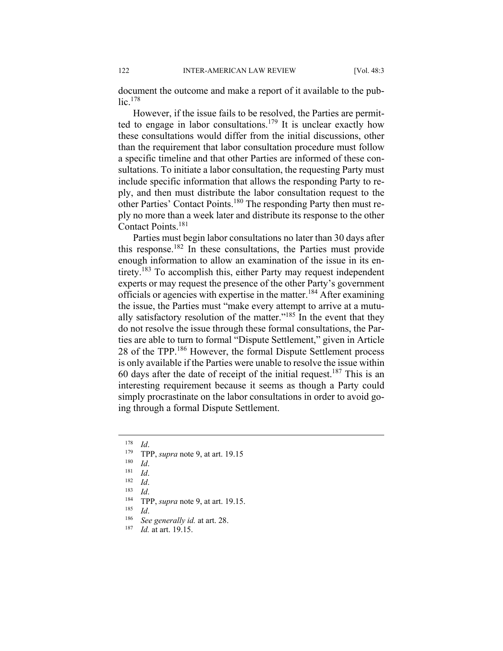document the outcome and make a report of it available to the public.178

However, if the issue fails to be resolved, the Parties are permitted to engage in labor consultations.<sup>179</sup> It is unclear exactly how these consultations would differ from the initial discussions, other than the requirement that labor consultation procedure must follow a specific timeline and that other Parties are informed of these consultations. To initiate a labor consultation, the requesting Party must include specific information that allows the responding Party to reply, and then must distribute the labor consultation request to the other Parties' Contact Points.180 The responding Party then must reply no more than a week later and distribute its response to the other Contact Points.181

Parties must begin labor consultations no later than 30 days after this response.182 In these consultations, the Parties must provide enough information to allow an examination of the issue in its entirety.183 To accomplish this, either Party may request independent experts or may request the presence of the other Party's government officials or agencies with expertise in the matter.184 After examining the issue, the Parties must "make every attempt to arrive at a mutually satisfactory resolution of the matter." $185$  In the event that they do not resolve the issue through these formal consultations, the Parties are able to turn to formal "Dispute Settlement," given in Article 28 of the TPP.186 However, the formal Dispute Settlement process is only available if the Parties were unable to resolve the issue within 60 days after the date of receipt of the initial request.<sup>187</sup> This is an interesting requirement because it seems as though a Party could simply procrastinate on the labor consultations in order to avoid going through a formal Dispute Settlement.

<sup>&</sup>lt;sup>178</sup> *Id.*<br>
<sup>179</sup> **TPP**, *supra* note 9, at art. 19.15<br>
<sup>180</sup> *Id.*<br>
<sup>181</sup> *Id.*<br>
<sup>182</sup> *Id.*<br>
<sup>184</sup> **TPP**, *supra* note 9, at art. 19.15.<br>
<sup>184</sup> **TPP**, *supra* note 9, at art. 19.15.<br>
<sup>186</sup> *See generally id.* at art. 2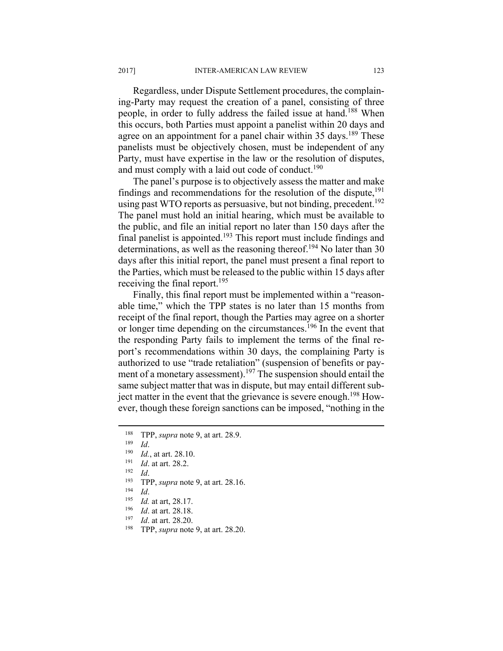Regardless, under Dispute Settlement procedures, the complaining-Party may request the creation of a panel, consisting of three people, in order to fully address the failed issue at hand.<sup>188</sup> When this occurs, both Parties must appoint a panelist within 20 days and agree on an appointment for a panel chair within 35 days.<sup>189</sup> These panelists must be objectively chosen, must be independent of any Party, must have expertise in the law or the resolution of disputes, and must comply with a laid out code of conduct.<sup>190</sup>

The panel's purpose is to objectively assess the matter and make findings and recommendations for the resolution of the dispute,  $^{191}$ using past WTO reports as persuasive, but not binding, precedent.<sup>192</sup> The panel must hold an initial hearing, which must be available to the public, and file an initial report no later than 150 days after the final panelist is appointed.<sup>193</sup> This report must include findings and determinations, as well as the reasoning thereof.<sup>194</sup> No later than 30 days after this initial report, the panel must present a final report to the Parties, which must be released to the public within 15 days after receiving the final report.<sup>195</sup>

Finally, this final report must be implemented within a "reasonable time," which the TPP states is no later than 15 months from receipt of the final report, though the Parties may agree on a shorter or longer time depending on the circumstances.196 In the event that the responding Party fails to implement the terms of the final report's recommendations within 30 days, the complaining Party is authorized to use "trade retaliation" (suspension of benefits or payment of a monetary assessment).<sup>197</sup> The suspension should entail the same subject matter that was in dispute, but may entail different subject matter in the event that the grievance is severe enough.<sup>198</sup> However, though these foreign sanctions can be imposed, "nothing in the

- <sup>188</sup> TPP, *supra* note 9, at art. 28.9.<br>
<sup>189</sup> *Id.*<br> *Id.* at art. 28.10.<br>
<sup>191</sup> *Id.* at art. 28.2.<br>
<sup>192</sup> *Id.*<br>
<sup>193</sup> *Id.*<br>
<sup>193</sup> *Id.*<br> *Id.*<br> *Ifd.* at art, 28.17.<br>
<sup>196</sup> *Id.* at art. 28.18.<br>
<sup>197</sup> *Id.* at art.
- 
- 
- 
- 
-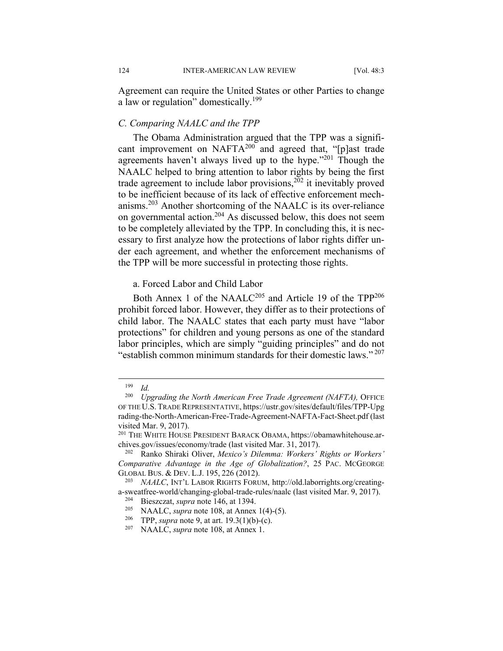Agreement can require the United States or other Parties to change a law or regulation" domestically.<sup>199</sup>

#### *C. Comparing NAALC and the TPP*

The Obama Administration argued that the TPP was a significant improvement on NAFTA $^{200}$  and agreed that, "[p]ast trade agreements haven't always lived up to the hype."<sup>201</sup> Though the NAALC helped to bring attention to labor rights by being the first trade agreement to include labor provisions, $2\overline{02}$  it inevitably proved to be inefficient because of its lack of effective enforcement mechanisms.203 Another shortcoming of the NAALC is its over-reliance on governmental action.204 As discussed below, this does not seem to be completely alleviated by the TPP. In concluding this, it is necessary to first analyze how the protections of labor rights differ under each agreement, and whether the enforcement mechanisms of the TPP will be more successful in protecting those rights.

#### a. Forced Labor and Child Labor

Both Annex 1 of the NAALC<sup>205</sup> and Article 19 of the TPP<sup>206</sup> prohibit forced labor. However, they differ as to their protections of child labor. The NAALC states that each party must have "labor protections" for children and young persons as one of the standard labor principles, which are simply "guiding principles" and do not "establish common minimum standards for their domestic laws." 207

 $\frac{199}{200}$  *Id.* 

<sup>200</sup> *Upgrading the North American Free Trade Agreement (NAFTA),* OFFICE OF THE U.S.TRADE REPRESENTATIVE, https://ustr.gov/sites/default/files/TPP-Upg rading-the-North-American-Free-Trade-Agreement-NAFTA-Fact-Sheet.pdf (last visited Mar. 9, 2017).

<sup>201</sup> THE WHITE HOUSE PRESIDENT BARACK OBAMA, https://obamawhitehouse.archives.gov/issues/economy/trade (last visited Mar. 31, 2017). 202 Ranko Shiraki Oliver, *Mexico's Dilemma: Workers' Rights or Workers'* 

*Comparative Advantage in the Age of Globalization?*, 25 PAC. MCGEORGE GLOBAL BUS. & DEV. L.J. 195, 226 (2012).<br><sup>203</sup> *NAALC*, INT'L LABOR RIGHTS FORUM, http://old.laborrights.org/creating-

a-sweatfree-world/changing-global-trade-rules/naalc (last visited Mar. 9, 2017).<br>
<sup>204</sup> Bieszczat, *supra* note 146, at 1394.<br>
<sup>205</sup> NAALC, *supra* note 108, at Annex 1(4)-(5).<br>
<sup>206</sup> TPP, *supra* note 9, at art. 19.3(1)(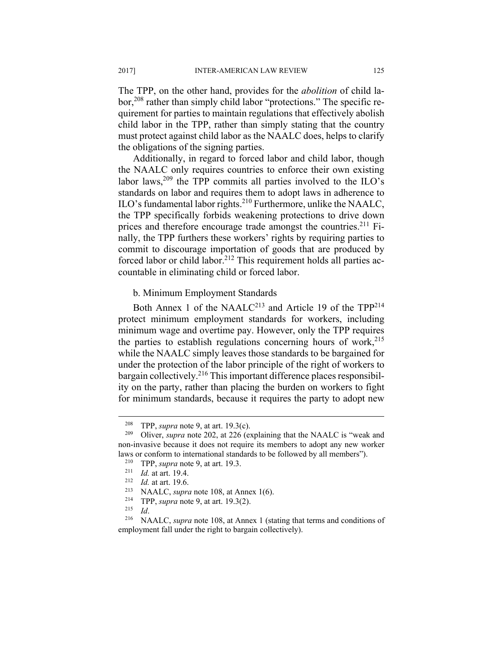The TPP, on the other hand, provides for the *abolition* of child labor,<sup>208</sup> rather than simply child labor "protections." The specific requirement for parties to maintain regulations that effectively abolish child labor in the TPP, rather than simply stating that the country must protect against child labor as the NAALC does, helps to clarify the obligations of the signing parties.

Additionally, in regard to forced labor and child labor, though the NAALC only requires countries to enforce their own existing labor laws,<sup>209</sup> the TPP commits all parties involved to the ILO's standards on labor and requires them to adopt laws in adherence to ILO's fundamental labor rights.<sup>210</sup> Furthermore, unlike the NAALC, the TPP specifically forbids weakening protections to drive down prices and therefore encourage trade amongst the countries.211 Finally, the TPP furthers these workers' rights by requiring parties to commit to discourage importation of goods that are produced by forced labor or child labor.<sup>212</sup> This requirement holds all parties accountable in eliminating child or forced labor.

#### b. Minimum Employment Standards

Both Annex 1 of the NAALC<sup>213</sup> and Article 19 of the  $TPP^{214}$ protect minimum employment standards for workers, including minimum wage and overtime pay. However, only the TPP requires the parties to establish regulations concerning hours of work, $215$ while the NAALC simply leaves those standards to be bargained for under the protection of the labor principle of the right of workers to bargain collectively.<sup>216</sup> This important difference places responsibility on the party, rather than placing the burden on workers to fight for minimum standards, because it requires the party to adopt new

<sup>208</sup> TPP, *supra* note 9, at art. 19.3(c). 209 Oliver, *supra* note 202, at 226 (explaining that the NAALC is "weak and non-invasive because it does not require its members to adopt any new worker laws or conform to international standards to be followed by all members").<br>
<sup>210</sup> TPP, *supra* note 9, at art. 19.3.<br>
<sup>211</sup> Id. at art. 19.4.<br>
<sup>212</sup> Id. at art. 19.6.<br>
<sup>213</sup> NAALC, *supra* note 108, at Annex 1(6).<br>
<sup>214</sup>

employment fall under the right to bargain collectively).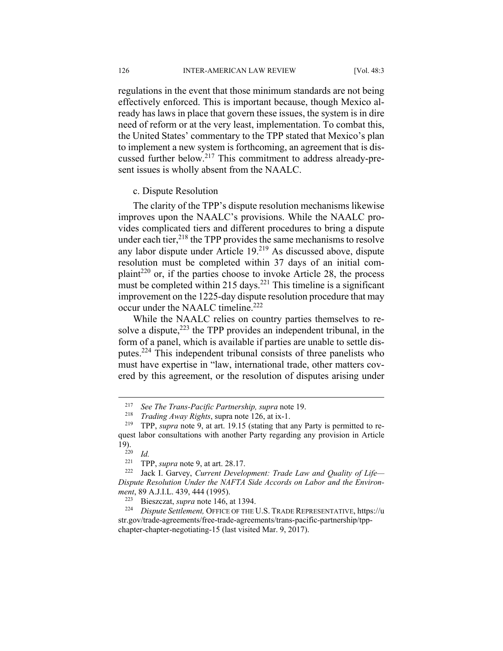regulations in the event that those minimum standards are not being effectively enforced. This is important because, though Mexico already has laws in place that govern these issues, the system is in dire need of reform or at the very least, implementation. To combat this, the United States' commentary to the TPP stated that Mexico's plan to implement a new system is forthcoming, an agreement that is discussed further below.217 This commitment to address already-present issues is wholly absent from the NAALC.

c. Dispute Resolution

The clarity of the TPP's dispute resolution mechanisms likewise improves upon the NAALC's provisions. While the NAALC provides complicated tiers and different procedures to bring a dispute under each tier,  $2^{18}$  the TPP provides the same mechanisms to resolve any labor dispute under Article 19.<sup>219</sup> As discussed above, dispute resolution must be completed within 37 days of an initial complaint<sup>220</sup> or, if the parties choose to invoke Article 28, the process must be completed within 215 days.<sup>221</sup> This timeline is a significant improvement on the 1225-day dispute resolution procedure that may occur under the NAALC timeline.222

While the NAALC relies on country parties themselves to resolve a dispute, $2^{23}$  the TPP provides an independent tribunal, in the form of a panel, which is available if parties are unable to settle disputes.224 This independent tribunal consists of three panelists who must have expertise in "law, international trade, other matters covered by this agreement, or the resolution of disputes arising under

<sup>217</sup> *See The Trans-Pacific Partnership, supra* note 19. 218 *Trading Away Rights*, supra note 126, at ix-1. 219 TPP, *supra* note 9, at art. 19.15 (stating that any Party is permitted to request labor consultations with another Party regarding any provision in Article 19). 220 *Id.* 

<sup>&</sup>lt;sup>221</sup> TPP, *supra* note 9, at art. 28.17.<br><sup>222</sup> Jack I. Garvey, *Current Development: Trade Law and Quality of Life*— *Dispute Resolution Under the NAFTA Side Accords on Labor and the Environment*, 89 A.J.I.L. 439, 444 (1995). 223 Bieszczat, *supra* note 146, at 1394. 224 *Dispute Settlement,* OFFICE OF THE U.S. TRADE REPRESENTATIVE, https://u

str.gov/trade-agreements/free-trade-agreements/trans-pacific-partnership/tppchapter-chapter-negotiating-15 (last visited Mar. 9, 2017).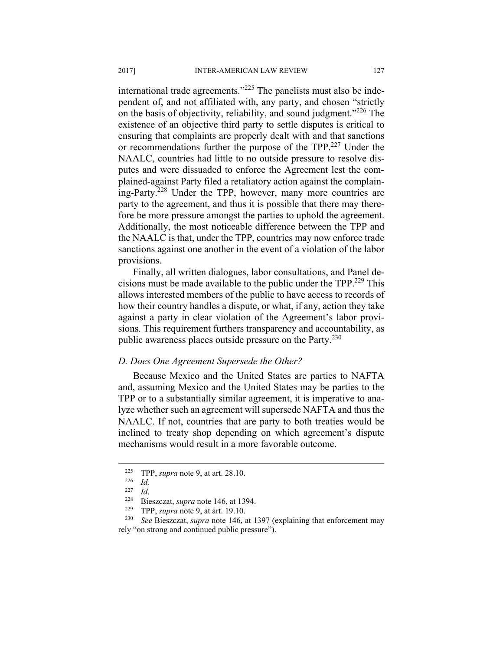international trade agreements."<sup>225</sup> The panelists must also be independent of, and not affiliated with, any party, and chosen "strictly on the basis of objectivity, reliability, and sound judgment."226 The existence of an objective third party to settle disputes is critical to ensuring that complaints are properly dealt with and that sanctions or recommendations further the purpose of the TPP.<sup>227</sup> Under the NAALC, countries had little to no outside pressure to resolve disputes and were dissuaded to enforce the Agreement lest the complained-against Party filed a retaliatory action against the complaining-Party.228 Under the TPP, however, many more countries are party to the agreement, and thus it is possible that there may therefore be more pressure amongst the parties to uphold the agreement. Additionally, the most noticeable difference between the TPP and the NAALC is that, under the TPP, countries may now enforce trade sanctions against one another in the event of a violation of the labor provisions.

Finally, all written dialogues, labor consultations, and Panel decisions must be made available to the public under the TPP.229 This allows interested members of the public to have access to records of how their country handles a dispute, or what, if any, action they take against a party in clear violation of the Agreement's labor provisions. This requirement furthers transparency and accountability, as public awareness places outside pressure on the Party.<sup>230</sup>

#### *D. Does One Agreement Supersede the Other?*

Because Mexico and the United States are parties to NAFTA and, assuming Mexico and the United States may be parties to the TPP or to a substantially similar agreement, it is imperative to analyze whether such an agreement will supersede NAFTA and thus the NAALC. If not, countries that are party to both treaties would be inclined to treaty shop depending on which agreement's dispute mechanisms would result in a more favorable outcome.

<sup>225</sup> TPP, *supra* note 9, at art. 28.10. 226 *Id.* 

<sup>227</sup> *Id*. 228 Bieszczat, *supra* note 146, at 1394. 229 TPP, *supra* note 9, at art. 19.10. 230 *See* Bieszczat, *supra* note 146, at 1397 (explaining that enforcement may rely "on strong and continued public pressure").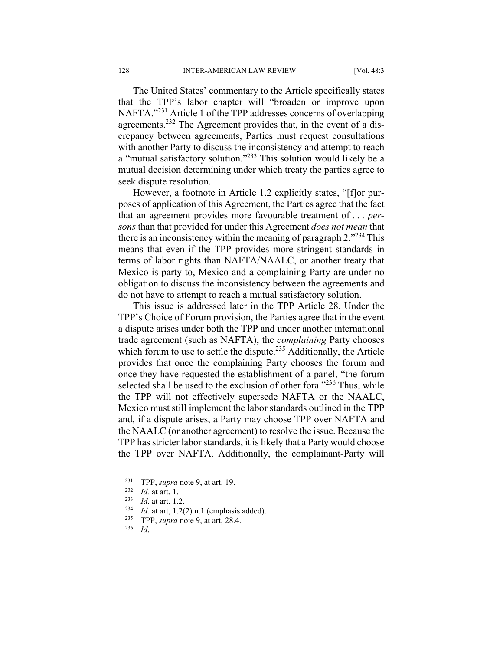The United States' commentary to the Article specifically states that the TPP's labor chapter will "broaden or improve upon NAFTA."231 Article 1 of the TPP addresses concerns of overlapping agreements.232 The Agreement provides that, in the event of a discrepancy between agreements, Parties must request consultations with another Party to discuss the inconsistency and attempt to reach a "mutual satisfactory solution."233 This solution would likely be a mutual decision determining under which treaty the parties agree to seek dispute resolution.

However, a footnote in Article 1.2 explicitly states, "[f]or purposes of application of this Agreement, the Parties agree that the fact that an agreement provides more favourable treatment of . . . *persons* than that provided for under this Agreement *does not mean* that there is an inconsistency within the meaning of paragraph 2.<sup>"234</sup> This means that even if the TPP provides more stringent standards in terms of labor rights than NAFTA/NAALC, or another treaty that Mexico is party to, Mexico and a complaining-Party are under no obligation to discuss the inconsistency between the agreements and do not have to attempt to reach a mutual satisfactory solution.

This issue is addressed later in the TPP Article 28. Under the TPP's Choice of Forum provision, the Parties agree that in the event a dispute arises under both the TPP and under another international trade agreement (such as NAFTA), the *complaining* Party chooses which forum to use to settle the dispute.<sup>235</sup> Additionally, the Article provides that once the complaining Party chooses the forum and once they have requested the establishment of a panel, "the forum selected shall be used to the exclusion of other fora."<sup>236</sup> Thus, while the TPP will not effectively supersede NAFTA or the NAALC, Mexico must still implement the labor standards outlined in the TPP and, if a dispute arises, a Party may choose TPP over NAFTA and the NAALC (or another agreement) to resolve the issue. Because the TPP has stricter labor standards, it is likely that a Party would choose the TPP over NAFTA. Additionally, the complainant-Party will

<sup>231</sup> TPP, *supra* note 9, at art. 19.<br>
<sup>232</sup> *Id.* at art. 1.<br>
<sup>233</sup> *Id.* at art, 1.2(2) n.1 (emphasis added).<br>
<sup>235</sup> TPP, *supra* note 9, at art, 28.4.<br>
<sup>236</sup> *Id.*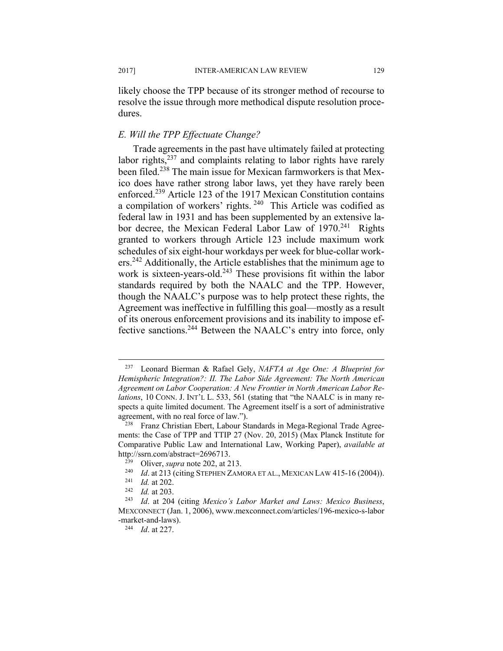likely choose the TPP because of its stronger method of recourse to resolve the issue through more methodical dispute resolution procedures.

#### *E. Will the TPP Effectuate Change?*

Trade agreements in the past have ultimately failed at protecting labor rights, $237$  and complaints relating to labor rights have rarely been filed.<sup>238</sup> The main issue for Mexican farmworkers is that Mexico does have rather strong labor laws, yet they have rarely been enforced.239 Article 123 of the 1917 Mexican Constitution contains a compilation of workers' rights. 240 This Article was codified as federal law in 1931 and has been supplemented by an extensive labor decree, the Mexican Federal Labor Law of 1970.<sup>241</sup> Rights granted to workers through Article 123 include maximum work schedules of six eight-hour workdays per week for blue-collar workers.<sup>242</sup> Additionally, the Article establishes that the minimum age to work is sixteen-years-old.<sup>243</sup> These provisions fit within the labor standards required by both the NAALC and the TPP. However, though the NAALC's purpose was to help protect these rights, the Agreement was ineffective in fulfilling this goal—mostly as a result of its onerous enforcement provisions and its inability to impose effective sanctions.244 Between the NAALC's entry into force, only

<sup>237</sup> Leonard Bierman & Rafael Gely, *NAFTA at Age One: A Blueprint for Hemispheric Integration?: II. The Labor Side Agreement: The North American Agreement on Labor Cooperation: A New Frontier in North American Labor Relations*, 10 CONN. J. INT'L L. 533, 561 (stating that "the NAALC is in many respects a quite limited document. The Agreement itself is a sort of administrative agreement, with no real force of law.").<br><sup>238</sup> Franz Christian Ebert, Labour Standards in Mega-Regional Trade Agree-

ments: the Case of TPP and TTIP 27 (Nov. 20, 2015) (Max Planck Institute for Comparative Public Law and International Law, Working Paper), *available at*

http://ssrn.com/abstract=2696713.<br>
<sup>239</sup> Oliver, *supra* note 202, at 213.<br>
<sup>240</sup> Id. at 213 (citing STEPHEN ZAMORA ET AL., MEXICAN LAW 415-16 (2004)).<br>
<sup>241</sup> Id. at 202.<br>
<sup>242</sup> Id. at 203.<br>
<sup>243</sup> Id. at 204 (citing *Mexi* 

MEXCONNECT (Jan. 1, 2006), www.mexconnect.com/articles/196-mexico-s-labor -market-and-laws). 244 *Id*. at 227.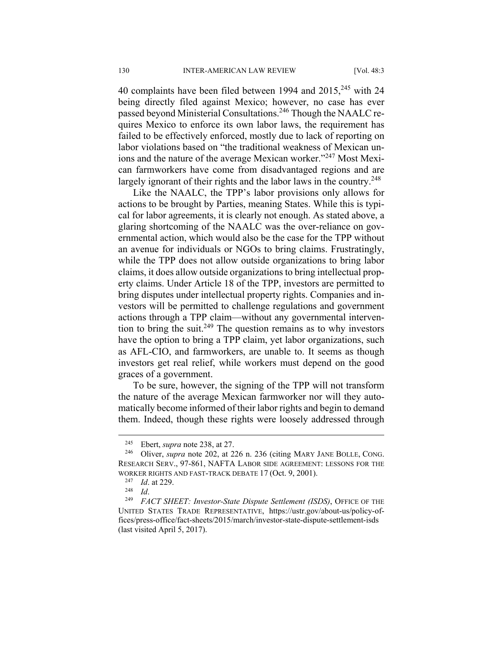40 complaints have been filed between 1994 and  $2015$ ,  $245$  with 24 being directly filed against Mexico; however, no case has ever passed beyond Ministerial Consultations.246 Though the NAALC requires Mexico to enforce its own labor laws, the requirement has failed to be effectively enforced, mostly due to lack of reporting on labor violations based on "the traditional weakness of Mexican unions and the nature of the average Mexican worker."247 Most Mexican farmworkers have come from disadvantaged regions and are largely ignorant of their rights and the labor laws in the country.<sup>248</sup>

Like the NAALC, the TPP's labor provisions only allows for actions to be brought by Parties, meaning States. While this is typical for labor agreements, it is clearly not enough. As stated above, a glaring shortcoming of the NAALC was the over-reliance on governmental action, which would also be the case for the TPP without an avenue for individuals or NGOs to bring claims. Frustratingly, while the TPP does not allow outside organizations to bring labor claims, it does allow outside organizations to bring intellectual property claims. Under Article 18 of the TPP, investors are permitted to bring disputes under intellectual property rights. Companies and investors will be permitted to challenge regulations and government actions through a TPP claim—without any governmental intervention to bring the suit.<sup>249</sup> The question remains as to why investors have the option to bring a TPP claim, yet labor organizations, such as AFL-CIO, and farmworkers, are unable to. It seems as though investors get real relief, while workers must depend on the good graces of a government.

To be sure, however, the signing of the TPP will not transform the nature of the average Mexican farmworker nor will they automatically become informed of their labor rights and begin to demand them. Indeed, though these rights were loosely addressed through

<sup>245</sup> Ebert, *supra* note 238, at 27. 246 Oliver, *supra* note 202, at 226 n. 236 (citing MARY JANE BOLLE, CONG. RESEARCH SERV., 97-861, NAFTA LABOR SIDE AGREEMENT: LESSONS FOR THE WORKER RIGHTS AND FAST-TRACK DEBATE 17 (Oct. 9, 2001).<br><sup>247</sup> *Id.* at 229.<br><sup>248</sup> *Id. FACT SHEET: Investor-State Dispute Settlement (ISDS)*, OFFICE OF THE

UNITED STATES TRADE REPRESENTATIVE, https://ustr.gov/about-us/policy-offices/press-office/fact-sheets/2015/march/investor-state-dispute-settlement-isds (last visited April 5, 2017).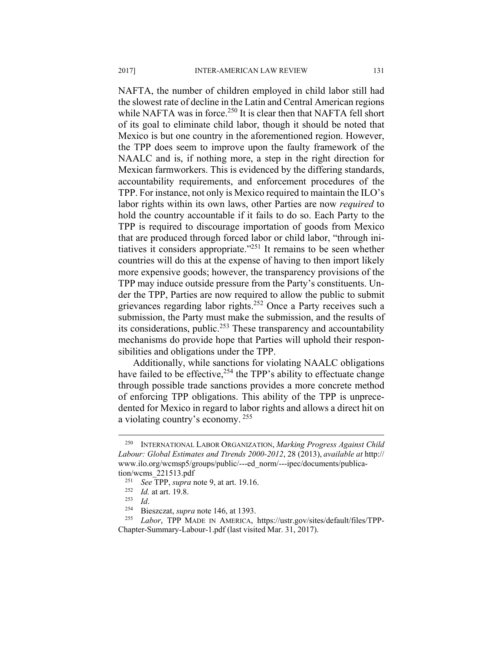NAFTA, the number of children employed in child labor still had the slowest rate of decline in the Latin and Central American regions while NAFTA was in force.<sup>250</sup> It is clear then that NAFTA fell short of its goal to eliminate child labor, though it should be noted that Mexico is but one country in the aforementioned region. However, the TPP does seem to improve upon the faulty framework of the NAALC and is, if nothing more, a step in the right direction for Mexican farmworkers. This is evidenced by the differing standards, accountability requirements, and enforcement procedures of the TPP. For instance, not only is Mexico required to maintain the ILO's labor rights within its own laws, other Parties are now *required* to hold the country accountable if it fails to do so. Each Party to the TPP is required to discourage importation of goods from Mexico that are produced through forced labor or child labor, "through initiatives it considers appropriate."251 It remains to be seen whether countries will do this at the expense of having to then import likely more expensive goods; however, the transparency provisions of the TPP may induce outside pressure from the Party's constituents. Under the TPP, Parties are now required to allow the public to submit grievances regarding labor rights.<sup>252</sup> Once a Party receives such a submission, the Party must make the submission, and the results of its considerations, public.<sup>253</sup> These transparency and accountability mechanisms do provide hope that Parties will uphold their responsibilities and obligations under the TPP.

Additionally, while sanctions for violating NAALC obligations have failed to be effective,<sup>254</sup> the TPP's ability to effectuate change through possible trade sanctions provides a more concrete method of enforcing TPP obligations. This ability of the TPP is unprecedented for Mexico in regard to labor rights and allows a direct hit on a violating country's economy.<sup>255</sup>

<sup>250</sup> INTERNATIONAL LABOR ORGANIZATION, *Marking Progress Against Child Labour: Global Estimates and Ttrends 2000-2012*, 28 (2013), *available at* http:// www.ilo.org/wcmsp5/groups/public/---ed\_norm/---ipec/documents/publica-

tion/wcms\_221513.pdf<br>
<sup>251</sup> See TPP, supra note 9, at art. 19.16.<br>
<sup>252</sup> Id. at art. 19.8.<br>
<sup>253</sup> Id.<br>
<sup>254</sup> Bieszczat, *supra* note 146, at 1393.<br>
<sup>254</sup> Labor, TPP MADE IN AMERICA, https://ustr.gov/sites/default/files/TP Chapter-Summary-Labour-1.pdf (last visited Mar. 31, 2017).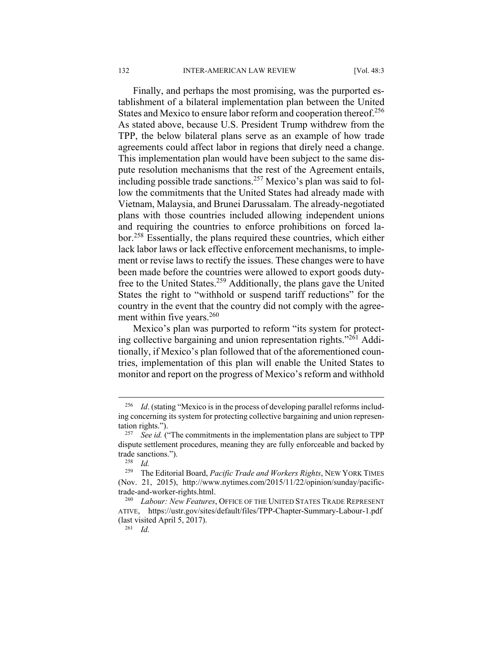Finally, and perhaps the most promising, was the purported establishment of a bilateral implementation plan between the United States and Mexico to ensure labor reform and cooperation thereof.<sup>256</sup> As stated above, because U.S. President Trump withdrew from the TPP, the below bilateral plans serve as an example of how trade agreements could affect labor in regions that direly need a change. This implementation plan would have been subject to the same dispute resolution mechanisms that the rest of the Agreement entails, including possible trade sanctions.<sup>257</sup> Mexico's plan was said to follow the commitments that the United States had already made with Vietnam, Malaysia, and Brunei Darussalam. The already-negotiated plans with those countries included allowing independent unions and requiring the countries to enforce prohibitions on forced labor.258 Essentially, the plans required these countries, which either lack labor laws or lack effective enforcement mechanisms, to implement or revise laws to rectify the issues. These changes were to have been made before the countries were allowed to export goods dutyfree to the United States.259 Additionally, the plans gave the United States the right to "withhold or suspend tariff reductions" for the country in the event that the country did not comply with the agreement within five years.<sup>260</sup>

Mexico's plan was purported to reform "its system for protecting collective bargaining and union representation rights."261 Additionally, if Mexico's plan followed that of the aforementioned countries, implementation of this plan will enable the United States to monitor and report on the progress of Mexico's reform and withhold

<sup>&</sup>lt;sup>256</sup> *Id.* (stating "Mexico is in the process of developing parallel reforms including concerning its system for protecting collective bargaining and union representation rights."). 257 *See id.* ("The commitments in the implementation plans are subject to TPP

dispute settlement procedures, meaning they are fully enforceable and backed by trade sanctions."). 258 *Id.*

<sup>259</sup> The Editorial Board, *Pacific Trade and Workers Rights*, NEW YORK TIMES (Nov. 21, 2015), http://www.nytimes.com/2015/11/22/opinion/sunday/pacifictrade-and-worker-rights.html. 260 *Labour: New Features*, OFFICE OF THE UNITED STATES TRADE REPRESENT

ATIVE, https://ustr.gov/sites/default/files/TPP-Chapter-Summary-Labour-1.pdf (last visited April 5, 2017). 261 *Id.*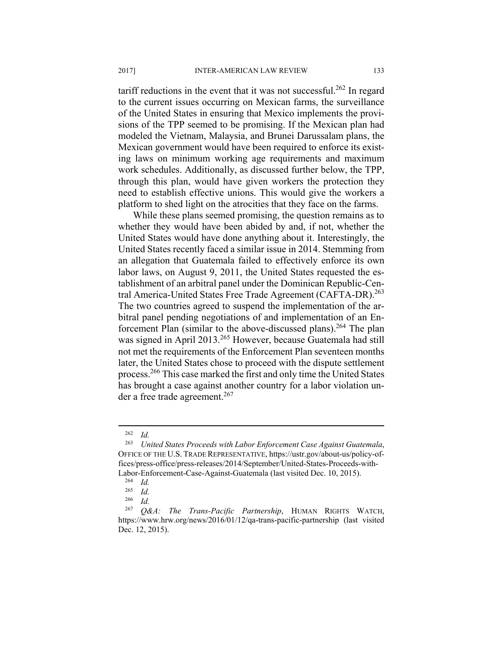tariff reductions in the event that it was not successful.<sup>262</sup> In regard to the current issues occurring on Mexican farms, the surveillance of the United States in ensuring that Mexico implements the provisions of the TPP seemed to be promising. If the Mexican plan had modeled the Vietnam, Malaysia, and Brunei Darussalam plans, the Mexican government would have been required to enforce its existing laws on minimum working age requirements and maximum work schedules. Additionally, as discussed further below, the TPP, through this plan, would have given workers the protection they need to establish effective unions. This would give the workers a platform to shed light on the atrocities that they face on the farms.

While these plans seemed promising, the question remains as to whether they would have been abided by and, if not, whether the United States would have done anything about it. Interestingly, the United States recently faced a similar issue in 2014. Stemming from an allegation that Guatemala failed to effectively enforce its own labor laws, on August 9, 2011, the United States requested the establishment of an arbitral panel under the Dominican Republic-Central America-United States Free Trade Agreement (CAFTA-DR).<sup>263</sup> The two countries agreed to suspend the implementation of the arbitral panel pending negotiations of and implementation of an Enforcement Plan (similar to the above-discussed plans).<sup>264</sup> The plan was signed in April 2013.<sup>265</sup> However, because Guatemala had still not met the requirements of the Enforcement Plan seventeen months later, the United States chose to proceed with the dispute settlement process.266 This case marked the first and only time the United States has brought a case against another country for a labor violation under a free trade agreement.<sup>267</sup>

<u>.</u>

 $\frac{262}{263}$  *Id.* 

<sup>263</sup> *United States Proceeds with Labor Enforcement Case Against Guatemala*, OFFICE OF THE U.S. TRADE REPRESENTATIVE, https://ustr.gov/about-us/policy-offices/press-office/press-releases/2014/September/United-States-Proceeds-with-Labor-Enforcement-Case-Against-Guatemala (last visited Dec. 10, 2015).<br><sup>264</sup> *Id.*<br><sup>265</sup> *Id* 

 $\frac{265}{266}$  *Id.* 

 $\frac{266}{267}$  *Id.* 

<sup>267</sup> *Q&A: The Trans-Pacific Partnership*, HUMAN RIGHTS WATCH, https://www.hrw.org/news/2016/01/12/qa-trans-pacific-partnership (last visited Dec. 12, 2015).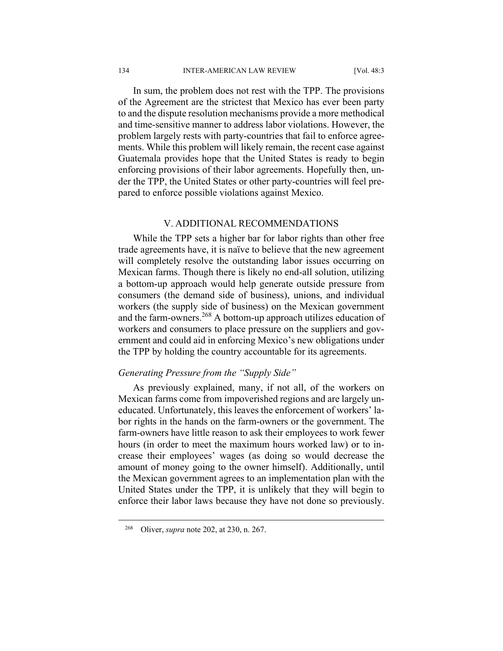In sum, the problem does not rest with the TPP. The provisions of the Agreement are the strictest that Mexico has ever been party to and the dispute resolution mechanisms provide a more methodical and time-sensitive manner to address labor violations. However, the problem largely rests with party-countries that fail to enforce agreements. While this problem will likely remain, the recent case against Guatemala provides hope that the United States is ready to begin enforcing provisions of their labor agreements. Hopefully then, under the TPP, the United States or other party-countries will feel prepared to enforce possible violations against Mexico.

#### V. ADDITIONAL RECOMMENDATIONS

While the TPP sets a higher bar for labor rights than other free trade agreements have, it is naïve to believe that the new agreement will completely resolve the outstanding labor issues occurring on Mexican farms. Though there is likely no end-all solution, utilizing a bottom-up approach would help generate outside pressure from consumers (the demand side of business), unions, and individual workers (the supply side of business) on the Mexican government and the farm-owners.<sup>268</sup> A bottom-up approach utilizes education of workers and consumers to place pressure on the suppliers and government and could aid in enforcing Mexico's new obligations under the TPP by holding the country accountable for its agreements.

#### *Generating Pressure from the "Supply Side"*

As previously explained, many, if not all, of the workers on Mexican farms come from impoverished regions and are largely uneducated. Unfortunately, this leaves the enforcement of workers' labor rights in the hands on the farm-owners or the government. The farm-owners have little reason to ask their employees to work fewer hours (in order to meet the maximum hours worked law) or to increase their employees' wages (as doing so would decrease the amount of money going to the owner himself). Additionally, until the Mexican government agrees to an implementation plan with the United States under the TPP, it is unlikely that they will begin to enforce their labor laws because they have not done so previously.

<sup>268</sup> Oliver, *supra* note 202, at 230, n. 267.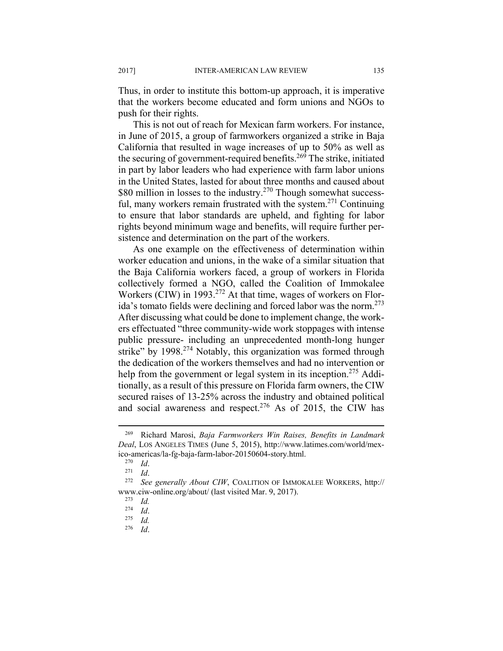Thus, in order to institute this bottom-up approach, it is imperative that the workers become educated and form unions and NGOs to push for their rights.

This is not out of reach for Mexican farm workers. For instance, in June of 2015, a group of farmworkers organized a strike in Baja California that resulted in wage increases of up to 50% as well as the securing of government-required benefits.<sup>269</sup> The strike, initiated in part by labor leaders who had experience with farm labor unions in the United States, lasted for about three months and caused about \$80 million in losses to the industry.<sup>270</sup> Though somewhat successful, many workers remain frustrated with the system.<sup>271</sup> Continuing to ensure that labor standards are upheld, and fighting for labor rights beyond minimum wage and benefits, will require further persistence and determination on the part of the workers.

As one example on the effectiveness of determination within worker education and unions, in the wake of a similar situation that the Baja California workers faced, a group of workers in Florida collectively formed a NGO, called the Coalition of Immokalee Workers (CIW) in 1993.<sup>272</sup> At that time, wages of workers on Florida's tomato fields were declining and forced labor was the norm.<sup>273</sup> After discussing what could be done to implement change, the workers effectuated "three community-wide work stoppages with intense public pressure- including an unprecedented month-long hunger strike" by 1998.<sup>274</sup> Notably, this organization was formed through the dedication of the workers themselves and had no intervention or help from the government or legal system in its inception.<sup>275</sup> Additionally, as a result of this pressure on Florida farm owners, the CIW secured raises of 13-25% across the industry and obtained political and social awareness and respect.<sup>276</sup> As of 2015, the CIW has

<sup>269</sup> Richard Marosi, *Baja Farmworkers Win Raises, Benefits in Landmark Deal*, LOS ANGELES TIMES (June 5, 2015), http://www.latimes.com/world/mexico-americas/la-fg-baja-farm-labor-20150604-story.html. 270 *Id*. 271 *Id*. 272 *See generally About CIW*, COALITION OF IMMOKALEE WORKERS, http://

www.ciw-online.org/about/ (last visited Mar. 9, 2017). 273 *Id.*

<sup>274</sup> *Id*. 275 *Id.* 

<sup>276</sup> *Id*.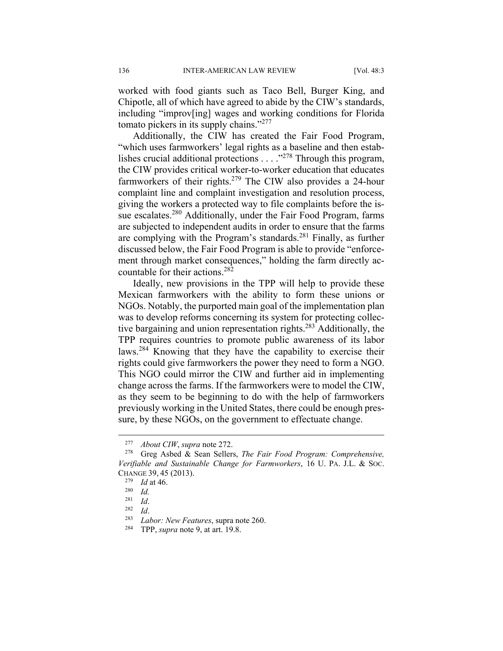worked with food giants such as Taco Bell, Burger King, and Chipotle, all of which have agreed to abide by the CIW's standards, including "improv[ing] wages and working conditions for Florida tomato pickers in its supply chains."277

Additionally, the CIW has created the Fair Food Program, "which uses farmworkers' legal rights as a baseline and then establishes crucial additional protections . . . ."278 Through this program, the CIW provides critical worker-to-worker education that educates farmworkers of their rights.<sup>279</sup> The CIW also provides a 24-hour complaint line and complaint investigation and resolution process, giving the workers a protected way to file complaints before the issue escalates.<sup>280</sup> Additionally, under the Fair Food Program, farms are subjected to independent audits in order to ensure that the farms are complying with the Program's standards.<sup>281</sup> Finally, as further discussed below, the Fair Food Program is able to provide "enforcement through market consequences," holding the farm directly accountable for their actions.282

Ideally, new provisions in the TPP will help to provide these Mexican farmworkers with the ability to form these unions or NGOs. Notably, the purported main goal of the implementation plan was to develop reforms concerning its system for protecting collective bargaining and union representation rights.<sup>283</sup> Additionally, the TPP requires countries to promote public awareness of its labor laws.284 Knowing that they have the capability to exercise their rights could give farmworkers the power they need to form a NGO. This NGO could mirror the CIW and further aid in implementing change across the farms. If the farmworkers were to model the CIW, as they seem to be beginning to do with the help of farmworkers previously working in the United States, there could be enough pressure, by these NGOs, on the government to effectuate change.

<sup>277</sup> *About CIW*, *supra* note 272. 278 Greg Asbed & Sean Sellers, *The Fair Food Program: Comprehensive, Verifiable and Sustainable Change for Farmworkers*, 16 U. PA. J.L. & SOC. CHANGE 39, 45 (2013). 279 *Id* at 46. 280 *Id.*

<sup>281</sup> *Id*. 282 *Id*. 283 *Labor: New Features*, supra note 260. 284 TPP, *supra* note 9, at art. 19.8.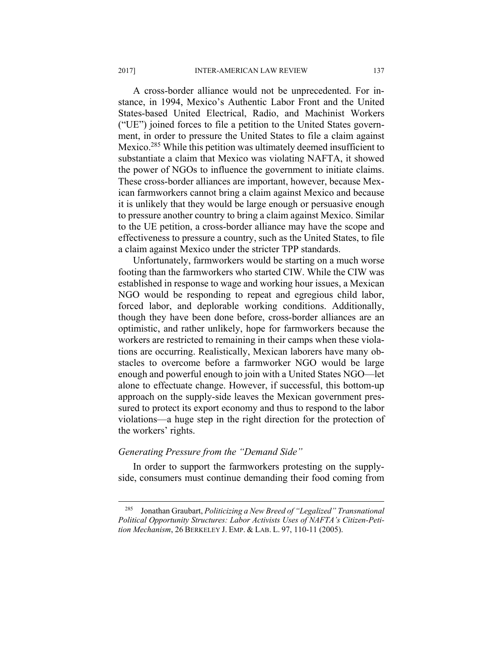A cross-border alliance would not be unprecedented. For instance, in 1994, Mexico's Authentic Labor Front and the United States-based United Electrical, Radio, and Machinist Workers ("UE") joined forces to file a petition to the United States government, in order to pressure the United States to file a claim against Mexico.285 While this petition was ultimately deemed insufficient to substantiate a claim that Mexico was violating NAFTA, it showed the power of NGOs to influence the government to initiate claims. These cross-border alliances are important, however, because Mexican farmworkers cannot bring a claim against Mexico and because it is unlikely that they would be large enough or persuasive enough to pressure another country to bring a claim against Mexico. Similar to the UE petition, a cross-border alliance may have the scope and effectiveness to pressure a country, such as the United States, to file a claim against Mexico under the stricter TPP standards.

Unfortunately, farmworkers would be starting on a much worse footing than the farmworkers who started CIW. While the CIW was established in response to wage and working hour issues, a Mexican NGO would be responding to repeat and egregious child labor, forced labor, and deplorable working conditions. Additionally, though they have been done before, cross-border alliances are an optimistic, and rather unlikely, hope for farmworkers because the workers are restricted to remaining in their camps when these violations are occurring. Realistically, Mexican laborers have many obstacles to overcome before a farmworker NGO would be large enough and powerful enough to join with a United States NGO—let alone to effectuate change. However, if successful, this bottom-up approach on the supply-side leaves the Mexican government pressured to protect its export economy and thus to respond to the labor violations—a huge step in the right direction for the protection of the workers' rights.

#### *Generating Pressure from the "Demand Side"*

In order to support the farmworkers protesting on the supplyside, consumers must continue demanding their food coming from

<sup>285</sup> Jonathan Graubart, *Politicizing a New Breed of "Legalized" Transnational Political Opportunity Structures: Labor Activists Uses of NAFTA's Citizen-Petition Mechanism*, 26 BERKELEY J. EMP. & LAB. L. 97, 110-11 (2005).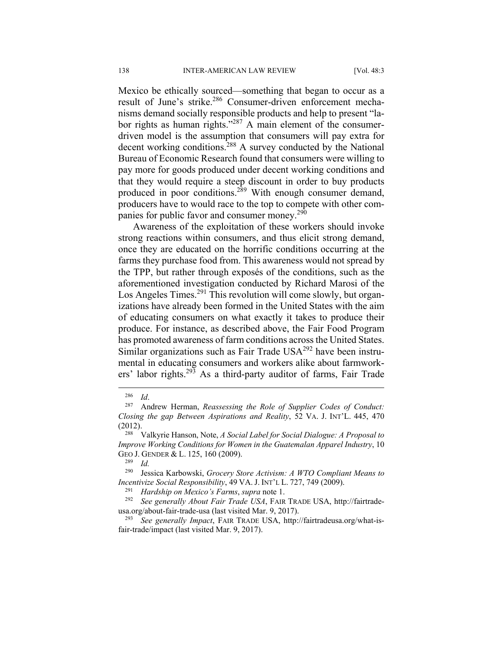Mexico be ethically sourced—something that began to occur as a result of June's strike.286 Consumer-driven enforcement mechanisms demand socially responsible products and help to present "labor rights as human rights."287 A main element of the consumerdriven model is the assumption that consumers will pay extra for decent working conditions.<sup>288</sup> A survey conducted by the National Bureau of Economic Research found that consumers were willing to pay more for goods produced under decent working conditions and that they would require a steep discount in order to buy products produced in poor conditions.<sup>289</sup> With enough consumer demand, producers have to would race to the top to compete with other companies for public favor and consumer money.<sup>290</sup>

Awareness of the exploitation of these workers should invoke strong reactions within consumers, and thus elicit strong demand, once they are educated on the horrific conditions occurring at the farms they purchase food from. This awareness would not spread by the TPP, but rather through exposés of the conditions, such as the aforementioned investigation conducted by Richard Marosi of the Los Angeles Times.<sup>291</sup> This revolution will come slowly, but organizations have already been formed in the United States with the aim of educating consumers on what exactly it takes to produce their produce. For instance, as described above, the Fair Food Program has promoted awareness of farm conditions across the United States. Similar organizations such as Fair Trade USA<sup>292</sup> have been instrumental in educating consumers and workers alike about farmworkers' labor rights.293 As a third-party auditor of farms, Fair Trade

 $\overline{a}$ 

usa.org/about-fair-trade-usa (last visited Mar. 9, 2017). 293 *See generally Impact*, FAIR TRADE USA, http://fairtradeusa.org/what-isfair-trade/impact (last visited Mar. 9, 2017).

<sup>286</sup> *Id*. 287 Andrew Herman, *Reassessing the Role of Supplier Codes of Conduct: Closing the gap Between Aspirations and Reality*, 52 VA. J. INT'L. 445, 470 (2012). 288 Valkyrie Hanson, Note, *A Social Label for Social Dialogue: A Proposal to* 

*Improve Working Conditions for Women in the Guatemalan Apparel Industry*, 10 GEO J. GENDER & L. 125, 160 (2009).<br><sup>289</sup> *Id.* 

<sup>290</sup> Jessica Karbowski, *Grocery Store Activism: A WTO Compliant Means to Incentivize Social Responsibility*, 49 VA. J. INT'L L. 727, 749 (2009).<br><sup>291</sup> *Hardship on Mexico's Farms*, *supra* note 1.<br><sup>292</sup> *See generally About Fair Trade USA*, FAIR TRADE USA, http://fairtrade-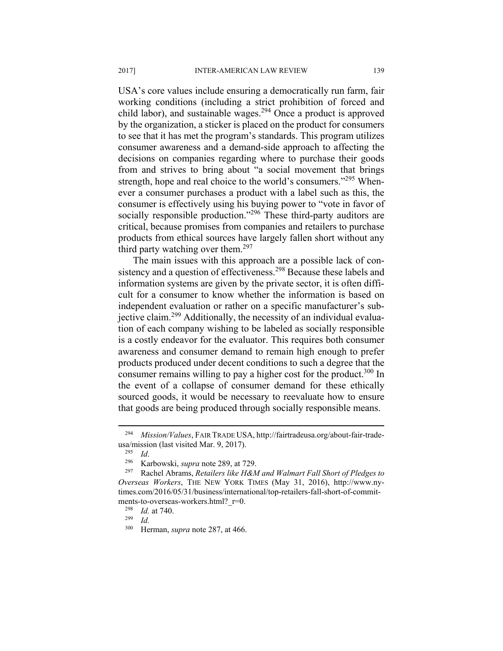USA's core values include ensuring a democratically run farm, fair working conditions (including a strict prohibition of forced and child labor), and sustainable wages.<sup>294</sup> Once a product is approved by the organization, a sticker is placed on the product for consumers to see that it has met the program's standards. This program utilizes consumer awareness and a demand-side approach to affecting the decisions on companies regarding where to purchase their goods from and strives to bring about "a social movement that brings strength, hope and real choice to the world's consumers."<sup>295</sup> Whenever a consumer purchases a product with a label such as this, the consumer is effectively using his buying power to "vote in favor of socially responsible production."<sup>296</sup> These third-party auditors are critical, because promises from companies and retailers to purchase products from ethical sources have largely fallen short without any third party watching over them.<sup>297</sup>

The main issues with this approach are a possible lack of consistency and a question of effectiveness.<sup>298</sup> Because these labels and information systems are given by the private sector, it is often difficult for a consumer to know whether the information is based on independent evaluation or rather on a specific manufacturer's subjective claim.<sup>299</sup> Additionally, the necessity of an individual evaluation of each company wishing to be labeled as socially responsible is a costly endeavor for the evaluator. This requires both consumer awareness and consumer demand to remain high enough to prefer products produced under decent conditions to such a degree that the consumer remains willing to pay a higher cost for the product.<sup>300</sup> In the event of a collapse of consumer demand for these ethically sourced goods, it would be necessary to reevaluate how to ensure that goods are being produced through socially responsible means.

<sup>294</sup> *Mission/Values*, FAIR TRADE USA, http://fairtradeusa.org/about-fair-tradeusa/mission (last visited Mar. 9, 2017).<br><sup>295</sup> *Id.* Karbowski, *supra* note 289, at 729.<br><sup>297</sup> Rachel Abrams, *Retailers like H&M and Walmart Fall Short of Pledges to* 

*Overseas Workers*, THE NEW YORK TIMES (May 31, 2016), http://www.nytimes.com/2016/05/31/business/international/top-retailers-fall-short-of-commitments-to-overseas-workers.html?\_r=0.<br><sup>298</sup> *Id.* at 740.<br><sup>299</sup> *Id.*<br><sup>300</sup> Herman *supra* pote 287 at 466

Herman, *supra* note 287, at 466.